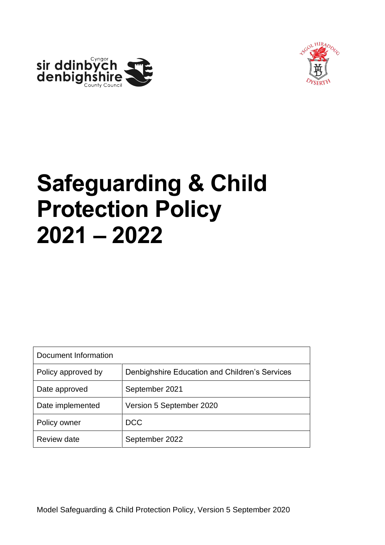



# **Safeguarding & Child Protection Policy 2021 – 2022**

| Document Information                                                 |                          |  |  |
|----------------------------------------------------------------------|--------------------------|--|--|
| Denbighshire Education and Children's Services<br>Policy approved by |                          |  |  |
| Date approved                                                        | September 2021           |  |  |
| Date implemented                                                     | Version 5 September 2020 |  |  |
| Policy owner                                                         | <b>DCC</b>               |  |  |
| <b>Review date</b>                                                   | September 2022           |  |  |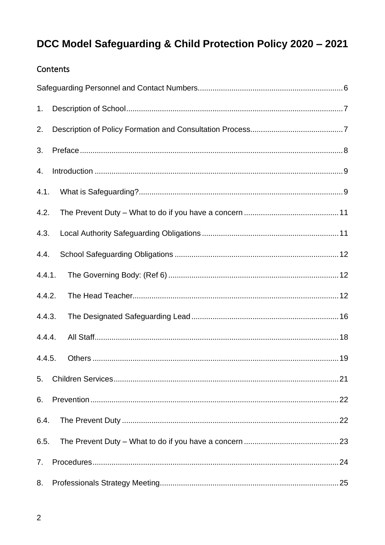#### Contents

| 1 <sub>1</sub> |
|----------------|
| 2.             |
| 3.             |
| 4.             |
| 4.1.           |
| 4.2.           |
| 4.3.           |
| 4.4.           |
| 4.4.1.         |
| 4.4.2.         |
| 4.4.3.         |
| 4.4.4.         |
| 4.4.5.         |
| 5.             |
| 6.             |
| 6.4.           |
| 6.5.           |
| 7.             |
| 8.             |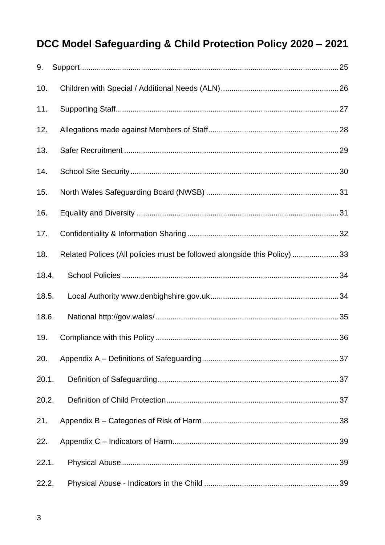| 9.    |                                                                          |  |
|-------|--------------------------------------------------------------------------|--|
| 10.   |                                                                          |  |
| 11.   |                                                                          |  |
| 12.   |                                                                          |  |
| 13.   |                                                                          |  |
| 14.   |                                                                          |  |
| 15.   |                                                                          |  |
| 16.   |                                                                          |  |
| 17.   |                                                                          |  |
| 18.   | Related Polices (All policies must be followed alongside this Policy) 33 |  |
| 18.4. |                                                                          |  |
| 18.5. |                                                                          |  |
| 18.6. |                                                                          |  |
| 19.   |                                                                          |  |
| 20.   |                                                                          |  |
| 20.1. |                                                                          |  |
| 20.2. |                                                                          |  |
| 21.   |                                                                          |  |
| 22.   |                                                                          |  |
| 22.1. |                                                                          |  |
| 22.2. |                                                                          |  |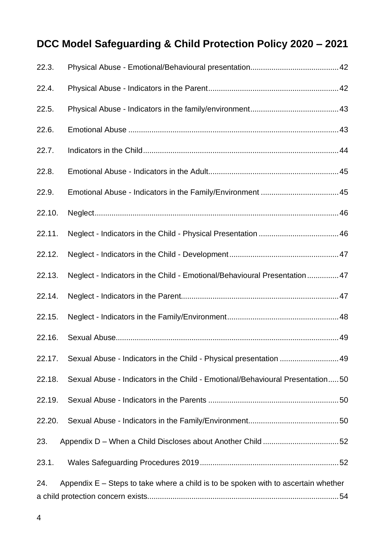| 22.3.  |                                                                                      |  |
|--------|--------------------------------------------------------------------------------------|--|
| 22.4.  |                                                                                      |  |
| 22.5.  |                                                                                      |  |
| 22.6.  |                                                                                      |  |
| 22.7.  |                                                                                      |  |
| 22.8.  |                                                                                      |  |
| 22.9.  |                                                                                      |  |
| 22.10. |                                                                                      |  |
| 22.11. |                                                                                      |  |
| 22.12. |                                                                                      |  |
| 22.13. | Neglect - Indicators in the Child - Emotional/Behavioural Presentation 47            |  |
| 22.14. |                                                                                      |  |
| 22.15. |                                                                                      |  |
| 22.16. |                                                                                      |  |
| 22.17. | Sexual Abuse - Indicators in the Child - Physical presentation 49                    |  |
| 22.18. | Sexual Abuse - Indicators in the Child - Emotional/Behavioural Presentation50        |  |
| 22.19. |                                                                                      |  |
| 22.20. |                                                                                      |  |
| 23.    |                                                                                      |  |
| 23.1.  |                                                                                      |  |
| 24.    | Appendix $E -$ Steps to take where a child is to be spoken with to ascertain whether |  |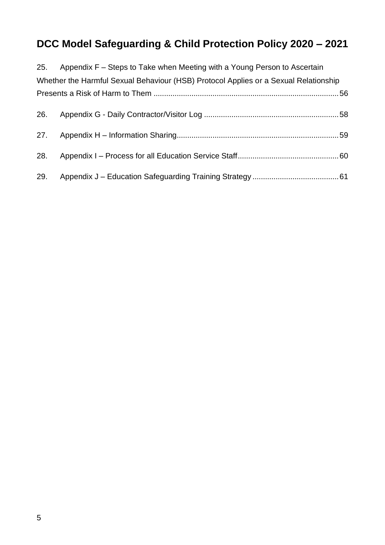|     | 25. Appendix F - Steps to Take when Meeting with a Young Person to Ascertain         |  |
|-----|--------------------------------------------------------------------------------------|--|
|     | Whether the Harmful Sexual Behaviour (HSB) Protocol Applies or a Sexual Relationship |  |
|     |                                                                                      |  |
|     |                                                                                      |  |
|     |                                                                                      |  |
| 28. |                                                                                      |  |
| 29. |                                                                                      |  |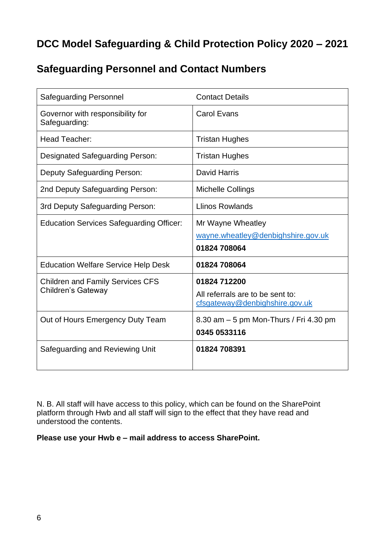# <span id="page-5-0"></span>**Safeguarding Personnel and Contact Numbers**

| <b>Safeguarding Personnel</b>                                 | <b>Contact Details</b>                                                             |
|---------------------------------------------------------------|------------------------------------------------------------------------------------|
| Governor with responsibility for<br>Safeguarding:             | <b>Carol Evans</b>                                                                 |
| Head Teacher:                                                 | <b>Tristan Hughes</b>                                                              |
| <b>Designated Safeguarding Person:</b>                        | <b>Tristan Hughes</b>                                                              |
| Deputy Safeguarding Person:                                   | <b>David Harris</b>                                                                |
| 2nd Deputy Safeguarding Person:                               | Michelle Collings                                                                  |
| 3rd Deputy Safeguarding Person:                               | <b>Llinos Rowlands</b>                                                             |
| <b>Education Services Safeguarding Officer:</b>               | Mr Wayne Wheatley<br>wayne.wheatley@denbighshire.gov.uk<br>01824 708064            |
| <b>Education Welfare Service Help Desk</b>                    | 01824 708064                                                                       |
| <b>Children and Family Services CFS</b><br>Children's Gateway | 01824 712200<br>All referrals are to be sent to:<br>cfsgateway@denbighshire.gov.uk |
| Out of Hours Emergency Duty Team                              | 8.30 am - 5 pm Mon-Thurs / Fri 4.30 pm<br>0345 0533116                             |
| Safeguarding and Reviewing Unit                               | 01824 708391                                                                       |

N. B. All staff will have access to this policy, which can be found on the SharePoint platform through Hwb and all staff will sign to the effect that they have read and understood the contents.

**Please use your Hwb e – mail address to access SharePoint.**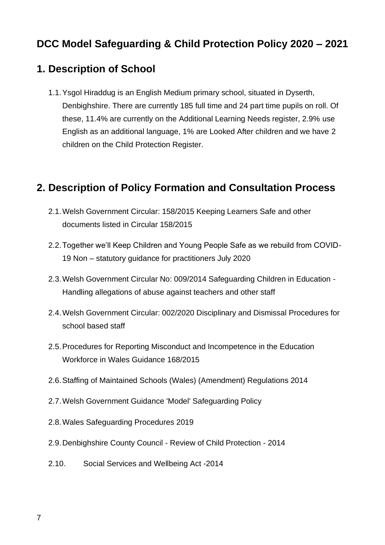#### <span id="page-6-0"></span>**1. Description of School**

1.1.Ysgol Hiraddug is an English Medium primary school, situated in Dyserth, Denbighshire. There are currently 185 full time and 24 part time pupils on roll. Of these, 11.4% are currently on the Additional Learning Needs register, 2.9% use English as an additional language, 1% are Looked After children and we have 2 children on the Child Protection Register.

#### <span id="page-6-1"></span>**2. Description of Policy Formation and Consultation Process**

- 2.1.Welsh Government Circular: 158/2015 Keeping Learners Safe and other documents listed in Circular 158/2015
- 2.2.Together we'll Keep Children and Young People Safe as we rebuild from COVID-19 Non – statutory guidance for practitioners July 2020
- 2.3.Welsh Government Circular No: 009/2014 Safeguarding Children in Education Handling allegations of abuse against teachers and other staff
- 2.4.Welsh Government Circular: 002/2020 Disciplinary and Dismissal Procedures for school based staff
- 2.5.Procedures for Reporting Misconduct and Incompetence in the Education Workforce in Wales Guidance 168/2015
- 2.6.Staffing of Maintained Schools (Wales) (Amendment) Regulations 2014
- 2.7.Welsh Government Guidance 'Model' Safeguarding Policy
- 2.8.Wales Safeguarding Procedures 2019
- 2.9.Denbighshire County Council Review of Child Protection 2014
- 2.10. Social Services and Wellbeing Act -2014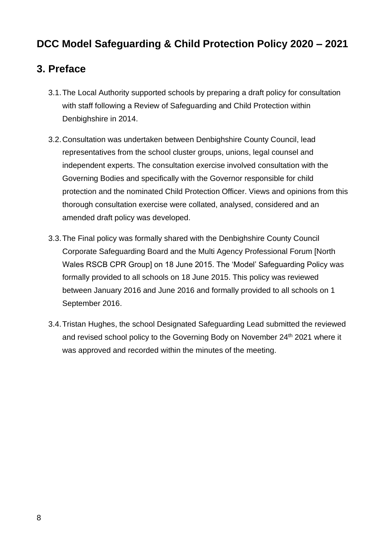#### <span id="page-7-0"></span>**3. Preface**

- 3.1.The Local Authority supported schools by preparing a draft policy for consultation with staff following a Review of Safeguarding and Child Protection within Denbighshire in 2014.
- 3.2.Consultation was undertaken between Denbighshire County Council, lead representatives from the school cluster groups, unions, legal counsel and independent experts. The consultation exercise involved consultation with the Governing Bodies and specifically with the Governor responsible for child protection and the nominated Child Protection Officer. Views and opinions from this thorough consultation exercise were collated, analysed, considered and an amended draft policy was developed.
- 3.3.The Final policy was formally shared with the Denbighshire County Council Corporate Safeguarding Board and the Multi Agency Professional Forum [North Wales RSCB CPR Group] on 18 June 2015. The 'Model' Safeguarding Policy was formally provided to all schools on 18 June 2015. This policy was reviewed between January 2016 and June 2016 and formally provided to all schools on 1 September 2016.
- 3.4.Tristan Hughes, the school Designated Safeguarding Lead submitted the reviewed and revised school policy to the Governing Body on November 24<sup>th</sup> 2021 where it was approved and recorded within the minutes of the meeting.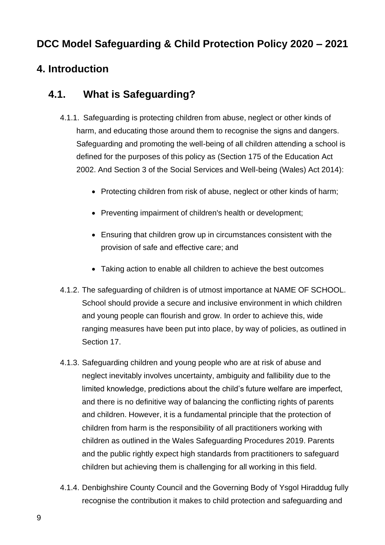# <span id="page-8-0"></span>**4. Introduction**

## <span id="page-8-1"></span>**4.1. What is Safeguarding?**

- 4.1.1. Safeguarding is protecting children from abuse, neglect or other kinds of harm, and educating those around them to recognise the signs and dangers. Safeguarding and promoting the well-being of all children attending a school is defined for the purposes of this policy as (Section 175 of the Education Act 2002. And Section 3 of the Social Services and Well-being (Wales) Act 2014):
	- Protecting children from risk of abuse, neglect or other kinds of harm;
	- Preventing impairment of children's health or development;
	- Ensuring that children grow up in circumstances consistent with the provision of safe and effective care; and
	- Taking action to enable all children to achieve the best outcomes
- 4.1.2. The safeguarding of children is of utmost importance at NAME OF SCHOOL. School should provide a secure and inclusive environment in which children and young people can flourish and grow. In order to achieve this, wide ranging measures have been put into place, by way of policies, as outlined in Section 17.
- 4.1.3. Safeguarding children and young people who are at risk of abuse and neglect inevitably involves uncertainty, ambiguity and fallibility due to the limited knowledge, predictions about the child's future welfare are imperfect, and there is no definitive way of balancing the conflicting rights of parents and children. However, it is a fundamental principle that the protection of children from harm is the responsibility of all practitioners working with children as outlined in the Wales Safeguarding Procedures 2019. Parents and the public rightly expect high standards from practitioners to safeguard children but achieving them is challenging for all working in this field.
- 4.1.4. Denbighshire County Council and the Governing Body of Ysgol Hiraddug fully recognise the contribution it makes to child protection and safeguarding and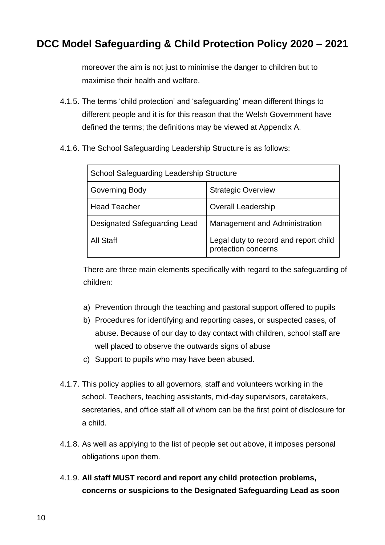moreover the aim is not just to minimise the danger to children but to maximise their health and welfare.

- 4.1.5. The terms 'child protection' and 'safeguarding' mean different things to different people and it is for this reason that the Welsh Government have defined the terms; the definitions may be viewed at Appendix A.
- 4.1.6. The School Safeguarding Leadership Structure is as follows:

| <b>School Safeguarding Leadership Structure</b> |                                                              |  |  |
|-------------------------------------------------|--------------------------------------------------------------|--|--|
| <b>Governing Body</b>                           | <b>Strategic Overview</b>                                    |  |  |
| <b>Head Teacher</b>                             | <b>Overall Leadership</b>                                    |  |  |
| Designated Safeguarding Lead                    | Management and Administration                                |  |  |
| <b>All Staff</b>                                | Legal duty to record and report child<br>protection concerns |  |  |

There are three main elements specifically with regard to the safeguarding of children:

- a) Prevention through the teaching and pastoral support offered to pupils
- b) Procedures for identifying and reporting cases, or suspected cases, of abuse. Because of our day to day contact with children, school staff are well placed to observe the outwards signs of abuse
- c) Support to pupils who may have been abused.
- 4.1.7. This policy applies to all governors, staff and volunteers working in the school. Teachers, teaching assistants, mid-day supervisors, caretakers, secretaries, and office staff all of whom can be the first point of disclosure for a child.
- 4.1.8. As well as applying to the list of people set out above, it imposes personal obligations upon them.
- 4.1.9. **All staff MUST record and report any child protection problems, concerns or suspicions to the Designated Safeguarding Lead as soon**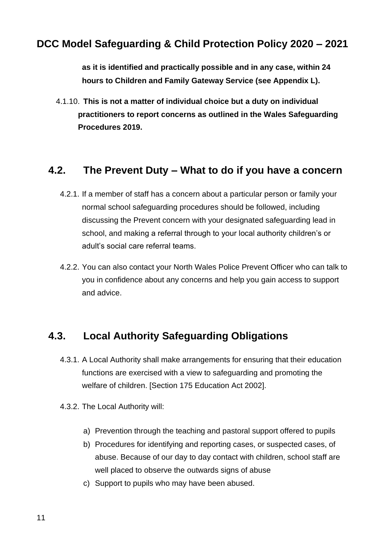**as it is identified and practically possible and in any case, within 24 hours to Children and Family Gateway Service (see Appendix L).**

4.1.10. **This is not a matter of individual choice but a duty on individual practitioners to report concerns as outlined in the Wales Safeguarding Procedures 2019.**

#### <span id="page-10-0"></span>**4.2. The Prevent Duty – What to do if you have a concern**

- 4.2.1. If a member of staff has a concern about a particular person or family your normal school safeguarding procedures should be followed, including discussing the Prevent concern with your designated safeguarding lead in school, and making a referral through to your local authority children's or adult's social care referral teams.
- 4.2.2. You can also contact your North Wales Police Prevent Officer who can talk to you in confidence about any concerns and help you gain access to support and advice.

#### <span id="page-10-1"></span>**4.3. Local Authority Safeguarding Obligations**

- 4.3.1. A Local Authority shall make arrangements for ensuring that their education functions are exercised with a view to safeguarding and promoting the welfare of children. [Section 175 Education Act 2002].
- 4.3.2. The Local Authority will:
	- a) Prevention through the teaching and pastoral support offered to pupils
	- b) Procedures for identifying and reporting cases, or suspected cases, of abuse. Because of our day to day contact with children, school staff are well placed to observe the outwards signs of abuse
	- c) Support to pupils who may have been abused.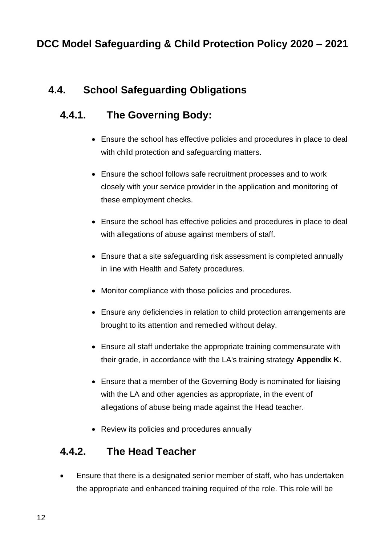# <span id="page-11-0"></span>**4.4. School Safeguarding Obligations**

# <span id="page-11-1"></span>**4.4.1. The Governing Body:**

- Ensure the school has effective policies and procedures in place to deal with child protection and safeguarding matters.
- Ensure the school follows safe recruitment processes and to work closely with your service provider in the application and monitoring of these employment checks.
- Ensure the school has effective policies and procedures in place to deal with allegations of abuse against members of staff.
- Ensure that a site safeguarding risk assessment is completed annually in line with Health and Safety procedures.
- Monitor compliance with those policies and procedures.
- Ensure any deficiencies in relation to child protection arrangements are brought to its attention and remedied without delay.
- Ensure all staff undertake the appropriate training commensurate with their grade, in accordance with the LA's training strategy **Appendix K**.
- Ensure that a member of the Governing Body is nominated for liaising with the LA and other agencies as appropriate, in the event of allegations of abuse being made against the Head teacher.
- Review its policies and procedures annually

# <span id="page-11-2"></span>**4.4.2. The Head Teacher**

• Ensure that there is a designated senior member of staff, who has undertaken the appropriate and enhanced training required of the role. This role will be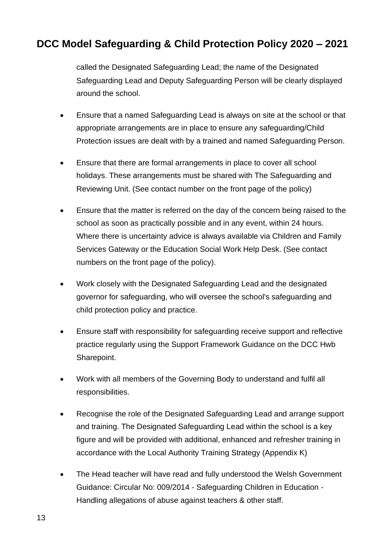called the Designated Safeguarding Lead; the name of the Designated Safeguarding Lead and Deputy Safeguarding Person will be clearly displayed around the school.

- Ensure that a named Safeguarding Lead is always on site at the school or that appropriate arrangements are in place to ensure any safeguarding/Child Protection issues are dealt with by a trained and named Safeguarding Person.
- Ensure that there are formal arrangements in place to cover all school holidays. These arrangements must be shared with The Safeguarding and Reviewing Unit. (See contact number on the front page of the policy)
- Ensure that the matter is referred on the day of the concern being raised to the school as soon as practically possible and in any event, within 24 hours. Where there is uncertainty advice is always available via Children and Family Services Gateway or the Education Social Work Help Desk. (See contact numbers on the front page of the policy).
- Work closely with the Designated Safeguarding Lead and the designated governor for safeguarding, who will oversee the school's safeguarding and child protection policy and practice.
- Ensure staff with responsibility for safeguarding receive support and reflective practice regularly using the Support Framework Guidance on the DCC Hwb Sharepoint.
- Work with all members of the Governing Body to understand and fulfil all responsibilities.
- Recognise the role of the Designated Safeguarding Lead and arrange support and training. The Designated Safeguarding Lead within the school is a key figure and will be provided with additional, enhanced and refresher training in accordance with the Local Authority Training Strategy (Appendix K)
- The Head teacher will have read and fully understood the Welsh Government Guidance: Circular No: 009/2014 - Safeguarding Children in Education - Handling allegations of abuse against teachers & other staff.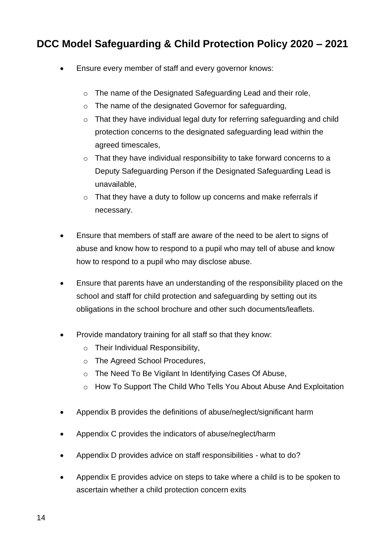- Ensure every member of staff and every governor knows:
	- o The name of the Designated Safeguarding Lead and their role,
	- o The name of the designated Governor for safeguarding,
	- o That they have individual legal duty for referring safeguarding and child protection concerns to the designated safeguarding lead within the agreed timescales,
	- o That they have individual responsibility to take forward concerns to a Deputy Safeguarding Person if the Designated Safeguarding Lead is unavailable,
	- $\circ$  That they have a duty to follow up concerns and make referrals if necessary.
- Ensure that members of staff are aware of the need to be alert to signs of abuse and know how to respond to a pupil who may tell of abuse and know how to respond to a pupil who may disclose abuse.
- Ensure that parents have an understanding of the responsibility placed on the school and staff for child protection and safeguarding by setting out its obligations in the school brochure and other such documents/leaflets.
- Provide mandatory training for all staff so that they know:
	- o Their Individual Responsibility,
	- o The Agreed School Procedures,
	- o The Need To Be Vigilant In Identifying Cases Of Abuse,
	- o How To Support The Child Who Tells You About Abuse And Exploitation
- Appendix B provides the definitions of abuse/neglect/significant harm
- Appendix C provides the indicators of abuse/neglect/harm
- Appendix D provides advice on staff responsibilities what to do?
- Appendix E provides advice on steps to take where a child is to be spoken to ascertain whether a child protection concern exits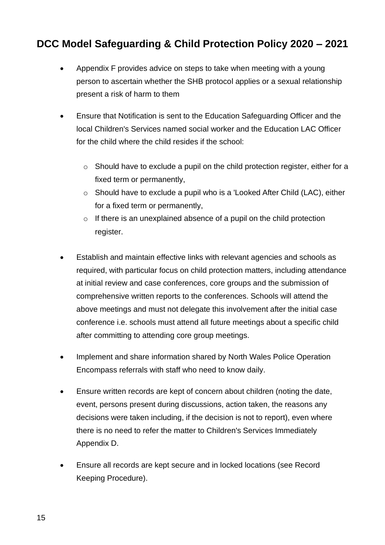- Appendix F provides advice on steps to take when meeting with a young person to ascertain whether the SHB protocol applies or a sexual relationship present a risk of harm to them
- Ensure that Notification is sent to the Education Safeguarding Officer and the local Children's Services named social worker and the Education LAC Officer for the child where the child resides if the school:
	- o Should have to exclude a pupil on the child protection register, either for a fixed term or permanently,
	- o Should have to exclude a pupil who is a 'Looked After Child (LAC), either for a fixed term or permanently,
	- $\circ$  If there is an unexplained absence of a pupil on the child protection register.
- Establish and maintain effective links with relevant agencies and schools as required, with particular focus on child protection matters, including attendance at initial review and case conferences, core groups and the submission of comprehensive written reports to the conferences. Schools will attend the above meetings and must not delegate this involvement after the initial case conference i.e. schools must attend all future meetings about a specific child after committing to attending core group meetings.
- Implement and share information shared by North Wales Police Operation Encompass referrals with staff who need to know daily.
- Ensure written records are kept of concern about children (noting the date, event, persons present during discussions, action taken, the reasons any decisions were taken including, if the decision is not to report), even where there is no need to refer the matter to Children's Services Immediately Appendix D.
- Ensure all records are kept secure and in locked locations (see Record Keeping Procedure).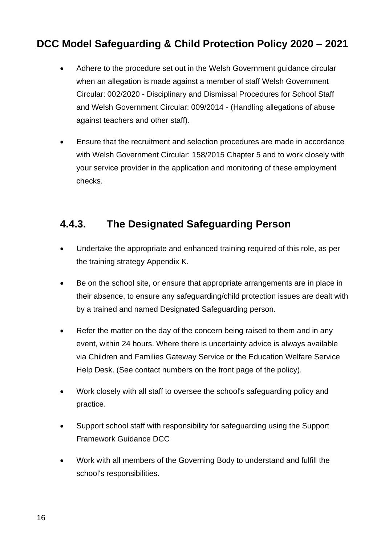- Adhere to the procedure set out in the Welsh Government guidance circular when an allegation is made against a member of staff Welsh Government Circular: 002/2020 - Disciplinary and Dismissal Procedures for School Staff and Welsh Government Circular: 009/2014 - (Handling allegations of abuse against teachers and other staff).
- Ensure that the recruitment and selection procedures are made in accordance with Welsh Government Circular: 158/2015 Chapter 5 and to work closely with your service provider in the application and monitoring of these employment checks.

# <span id="page-15-0"></span>**4.4.3. The Designated Safeguarding Person**

- Undertake the appropriate and enhanced training required of this role, as per the training strategy Appendix K.
- Be on the school site, or ensure that appropriate arrangements are in place in their absence, to ensure any safeguarding/child protection issues are dealt with by a trained and named Designated Safeguarding person.
- Refer the matter on the day of the concern being raised to them and in any event, within 24 hours. Where there is uncertainty advice is always available via Children and Families Gateway Service or the Education Welfare Service Help Desk. (See contact numbers on the front page of the policy).
- Work closely with all staff to oversee the school's safeguarding policy and practice.
- Support school staff with responsibility for safeguarding using the Support Framework Guidance DCC
- Work with all members of the Governing Body to understand and fulfill the school's responsibilities.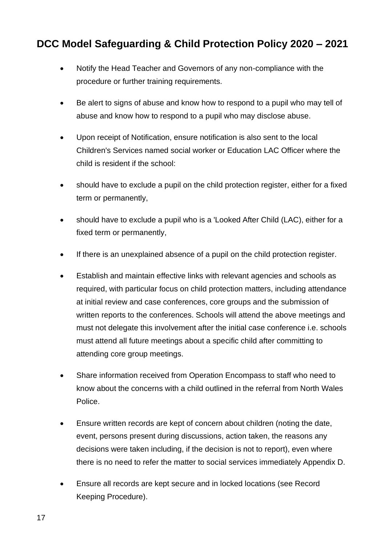- Notify the Head Teacher and Governors of any non-compliance with the procedure or further training requirements.
- Be alert to signs of abuse and know how to respond to a pupil who may tell of abuse and know how to respond to a pupil who may disclose abuse.
- Upon receipt of Notification, ensure notification is also sent to the local Children's Services named social worker or Education LAC Officer where the child is resident if the school:
- should have to exclude a pupil on the child protection register, either for a fixed term or permanently,
- should have to exclude a pupil who is a 'Looked After Child (LAC), either for a fixed term or permanently,
- If there is an unexplained absence of a pupil on the child protection register.
- Establish and maintain effective links with relevant agencies and schools as required, with particular focus on child protection matters, including attendance at initial review and case conferences, core groups and the submission of written reports to the conferences. Schools will attend the above meetings and must not delegate this involvement after the initial case conference i.e. schools must attend all future meetings about a specific child after committing to attending core group meetings.
- Share information received from Operation Encompass to staff who need to know about the concerns with a child outlined in the referral from North Wales Police.
- Ensure written records are kept of concern about children (noting the date, event, persons present during discussions, action taken, the reasons any decisions were taken including, if the decision is not to report), even where there is no need to refer the matter to social services immediately Appendix D.
- Ensure all records are kept secure and in locked locations (see Record Keeping Procedure).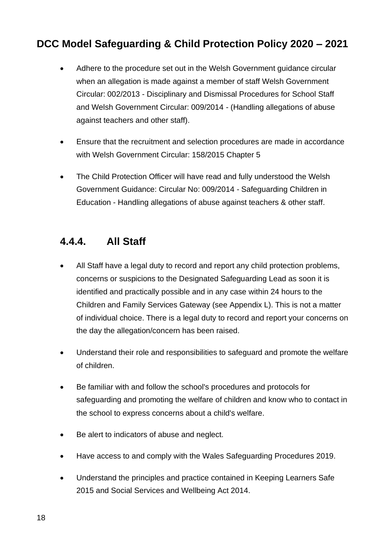- Adhere to the procedure set out in the Welsh Government guidance circular when an allegation is made against a member of staff Welsh Government Circular: 002/2013 - Disciplinary and Dismissal Procedures for School Staff and Welsh Government Circular: 009/2014 - (Handling allegations of abuse against teachers and other staff).
- Ensure that the recruitment and selection procedures are made in accordance with Welsh Government Circular: 158/2015 Chapter 5
- The Child Protection Officer will have read and fully understood the Welsh Government Guidance: Circular No: 009/2014 - Safeguarding Children in Education - Handling allegations of abuse against teachers & other staff.

#### <span id="page-17-0"></span>**4.4.4. All Staff**

- All Staff have a legal duty to record and report any child protection problems, concerns or suspicions to the Designated Safeguarding Lead as soon it is identified and practically possible and in any case within 24 hours to the Children and Family Services Gateway (see Appendix L). This is not a matter of individual choice. There is a legal duty to record and report your concerns on the day the allegation/concern has been raised.
- Understand their role and responsibilities to safeguard and promote the welfare of children.
- Be familiar with and follow the school's procedures and protocols for safeguarding and promoting the welfare of children and know who to contact in the school to express concerns about a child's welfare.
- Be alert to indicators of abuse and neglect.
- Have access to and comply with the Wales Safeguarding Procedures 2019.
- Understand the principles and practice contained in Keeping Learners Safe 2015 and Social Services and Wellbeing Act 2014.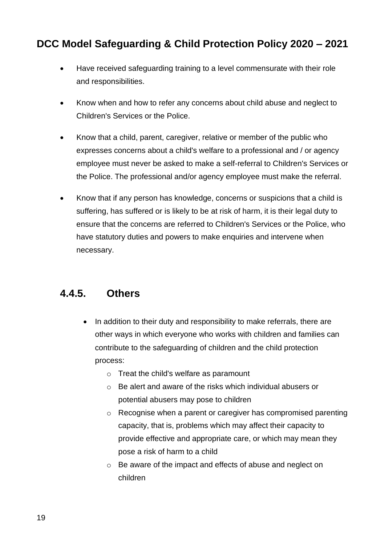- Have received safeguarding training to a level commensurate with their role and responsibilities.
- Know when and how to refer any concerns about child abuse and neglect to Children's Services or the Police.
- Know that a child, parent, caregiver, relative or member of the public who expresses concerns about a child's welfare to a professional and / or agency employee must never be asked to make a self-referral to Children's Services or the Police. The professional and/or agency employee must make the referral.
- Know that if any person has knowledge, concerns or suspicions that a child is suffering, has suffered or is likely to be at risk of harm, it is their legal duty to ensure that the concerns are referred to Children's Services or the Police, who have statutory duties and powers to make enquiries and intervene when necessary.

# <span id="page-18-0"></span>**4.4.5. Others**

- In addition to their duty and responsibility to make referrals, there are other ways in which everyone who works with children and families can contribute to the safeguarding of children and the child protection process:
	- o Treat the child's welfare as paramount
	- o Be alert and aware of the risks which individual abusers or potential abusers may pose to children
	- o Recognise when a parent or caregiver has compromised parenting capacity, that is, problems which may affect their capacity to provide effective and appropriate care, or which may mean they pose a risk of harm to a child
	- o Be aware of the impact and effects of abuse and neglect on children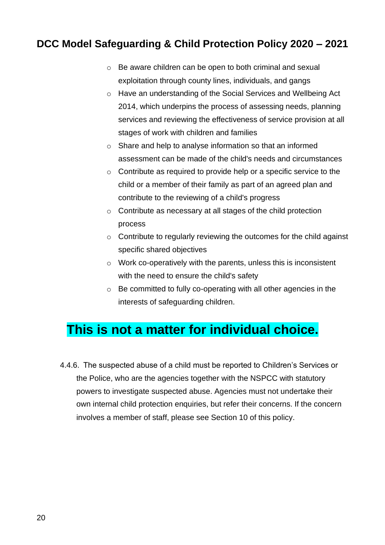- o Be aware children can be open to both criminal and sexual exploitation through county lines, individuals, and gangs
- o Have an understanding of the Social Services and Wellbeing Act 2014, which underpins the process of assessing needs, planning services and reviewing the effectiveness of service provision at all stages of work with children and families
- o Share and help to analyse information so that an informed assessment can be made of the child's needs and circumstances
- $\circ$  Contribute as required to provide help or a specific service to the child or a member of their family as part of an agreed plan and contribute to the reviewing of a child's progress
- $\circ$  Contribute as necessary at all stages of the child protection process
- $\circ$  Contribute to regularly reviewing the outcomes for the child against specific shared objectives
- o Work co-operatively with the parents, unless this is inconsistent with the need to ensure the child's safety
- o Be committed to fully co-operating with all other agencies in the interests of safeguarding children.

# **This is not a matter for individual choice.**

4.4.6. The suspected abuse of a child must be reported to Children's Services or the Police, who are the agencies together with the NSPCC with statutory powers to investigate suspected abuse. Agencies must not undertake their own internal child protection enquiries, but refer their concerns. If the concern involves a member of staff, please see Section 10 of this policy.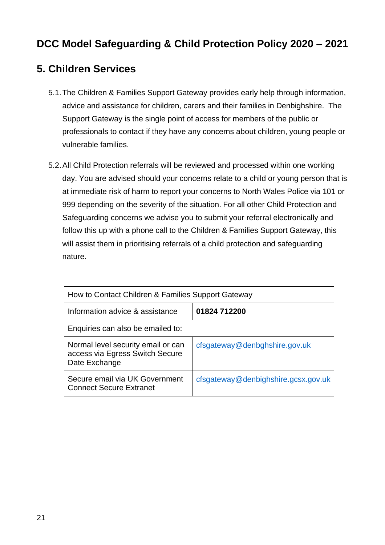#### <span id="page-20-0"></span>**5. Children Services**

- 5.1.The Children & Families Support Gateway provides early help through information, advice and assistance for children, carers and their families in Denbighshire. The Support Gateway is the single point of access for members of the public or professionals to contact if they have any concerns about children, young people or vulnerable families.
- 5.2.All Child Protection referrals will be reviewed and processed within one working day. You are advised should your concerns relate to a child or young person that is at immediate risk of harm to report your concerns to North Wales Police via 101 or 999 depending on the severity of the situation. For all other Child Protection and Safeguarding concerns we advise you to submit your referral electronically and follow this up with a phone call to the Children & Families Support Gateway, this will assist them in prioritising referrals of a child protection and safeguarding nature.

| How to Contact Children & Families Support Gateway                                     |                                     |  |  |
|----------------------------------------------------------------------------------------|-------------------------------------|--|--|
| Information advice & assistance                                                        | 01824 712200                        |  |  |
| Enquiries can also be emailed to:                                                      |                                     |  |  |
| Normal level security email or can<br>access via Egress Switch Secure<br>Date Exchange | cfsgateway@denbghshire.gov.uk       |  |  |
| Secure email via UK Government<br><b>Connect Secure Extranet</b>                       | cfsgateway@denbighshire.gcsx.gov.uk |  |  |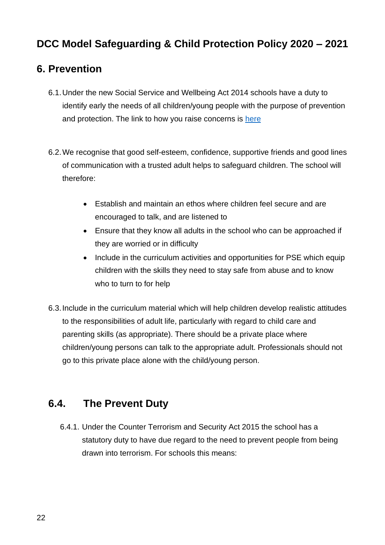#### <span id="page-21-0"></span>**6. Prevention**

- 6.1.Under the new Social Service and Wellbeing Act 2014 schools have a duty to identify early the needs of all children/young people with the purpose of prevention and protection. The link to how you raise concerns is [here](https://www.denbighshire.gov.uk/en/resident/health-and-social-care/children-young-people-and-families/report-a-child-at-risk.aspx)
- 6.2.We recognise that good self-esteem, confidence, supportive friends and good lines of communication with a trusted adult helps to safeguard children. The school will therefore:
	- Establish and maintain an ethos where children feel secure and are encouraged to talk, and are listened to
	- Ensure that they know all adults in the school who can be approached if they are worried or in difficulty
	- Include in the curriculum activities and opportunities for PSE which equip children with the skills they need to stay safe from abuse and to know who to turn to for help
- 6.3.Include in the curriculum material which will help children develop realistic attitudes to the responsibilities of adult life, particularly with regard to child care and parenting skills (as appropriate). There should be a private place where children/young persons can talk to the appropriate adult. Professionals should not go to this private place alone with the child/young person.

## <span id="page-21-1"></span>**6.4. The Prevent Duty**

6.4.1. Under the Counter Terrorism and Security Act 2015 the school has a statutory duty to have due regard to the need to prevent people from being drawn into terrorism. For schools this means: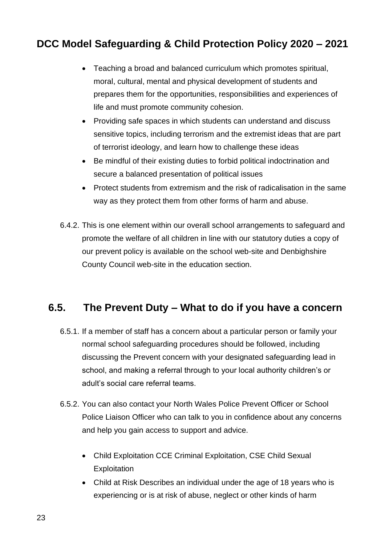- Teaching a broad and balanced curriculum which promotes spiritual, moral, cultural, mental and physical development of students and prepares them for the opportunities, responsibilities and experiences of life and must promote community cohesion.
- Providing safe spaces in which students can understand and discuss sensitive topics, including terrorism and the extremist ideas that are part of terrorist ideology, and learn how to challenge these ideas
- Be mindful of their existing duties to forbid political indoctrination and secure a balanced presentation of political issues
- Protect students from extremism and the risk of radicalisation in the same way as they protect them from other forms of harm and abuse.
- 6.4.2. This is one element within our overall school arrangements to safeguard and promote the welfare of all children in line with our statutory duties a copy of our prevent policy is available on the school web-site and Denbighshire County Council web-site in the education section.

#### <span id="page-22-0"></span>**6.5. The Prevent Duty – What to do if you have a concern**

- 6.5.1. If a member of staff has a concern about a particular person or family your normal school safeguarding procedures should be followed, including discussing the Prevent concern with your designated safeguarding lead in school, and making a referral through to your local authority children's or adult's social care referral teams.
- 6.5.2. You can also contact your North Wales Police Prevent Officer or School Police Liaison Officer who can talk to you in confidence about any concerns and help you gain access to support and advice.
	- Child Exploitation CCE Criminal Exploitation, CSE Child Sexual **Exploitation**
	- Child at Risk Describes an individual under the age of 18 years who is experiencing or is at risk of abuse, neglect or other kinds of harm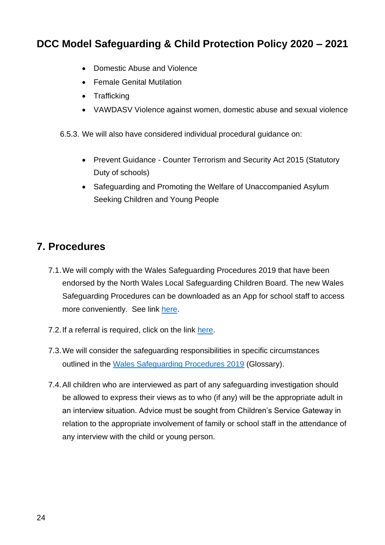- Domestic Abuse and Violence
- Female Genital Mutilation
- Trafficking
- VAWDASV Violence against women, domestic abuse and sexual violence

6.5.3. We will also have considered individual procedural guidance on:

- Prevent Guidance Counter Terrorism and Security Act 2015 (Statutory Duty of schools)
- Safeguarding and Promoting the Welfare of Unaccompanied Asylum Seeking Children and Young People

#### <span id="page-23-0"></span>**7. Procedures**

- 7.1.We will comply with the Wales Safeguarding Procedures 2019 that have been endorsed by the North Wales Local Safeguarding Children Board. The new Wales Safeguarding Procedures can be downloaded as an App for school staff to access more conveniently. See link [here.](https://www.safeguarding.wales/)
- 7.2.If a referral is required, click on the link [here.](https://www.denbighshire.gov.uk/en/resident/health-and-social-care/children-young-people-and-families/report-a-child-at-risk.aspx)
- 7.3.We will consider the safeguarding responsibilities in specific circumstances outlined in the [Wales Safeguarding Procedures 2019](https://www.safeguarding.wales/) (Glossary).
- 7.4.All children who are interviewed as part of any safeguarding investigation should be allowed to express their views as to who (if any) will be the appropriate adult in an interview situation. Advice must be sought from Children's Service Gateway in relation to the appropriate involvement of family or school staff in the attendance of any interview with the child or young person.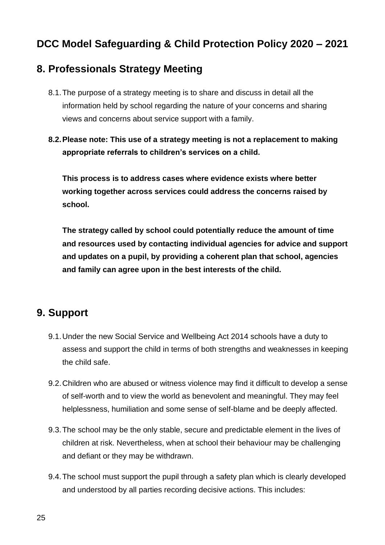#### <span id="page-24-0"></span>**8. Professionals Strategy Meeting**

- 8.1.The purpose of a strategy meeting is to share and discuss in detail all the information held by school regarding the nature of your concerns and sharing views and concerns about service support with a family.
- **8.2.Please note: This use of a strategy meeting is not a replacement to making appropriate referrals to children's services on a child.**

**This process is to address cases where evidence exists where better working together across services could address the concerns raised by school.**

**The strategy called by school could potentially reduce the amount of time and resources used by contacting individual agencies for advice and support and updates on a pupil, by providing a coherent plan that school, agencies and family can agree upon in the best interests of the child.**

#### <span id="page-24-1"></span>**9. Support**

- 9.1.Under the new Social Service and Wellbeing Act 2014 schools have a duty to assess and support the child in terms of both strengths and weaknesses in keeping the child safe.
- 9.2.Children who are abused or witness violence may find it difficult to develop a sense of self-worth and to view the world as benevolent and meaningful. They may feel helplessness, humiliation and some sense of self-blame and be deeply affected.
- 9.3.The school may be the only stable, secure and predictable element in the lives of children at risk. Nevertheless, when at school their behaviour may be challenging and defiant or they may be withdrawn.
- 9.4.The school must support the pupil through a safety plan which is clearly developed and understood by all parties recording decisive actions. This includes: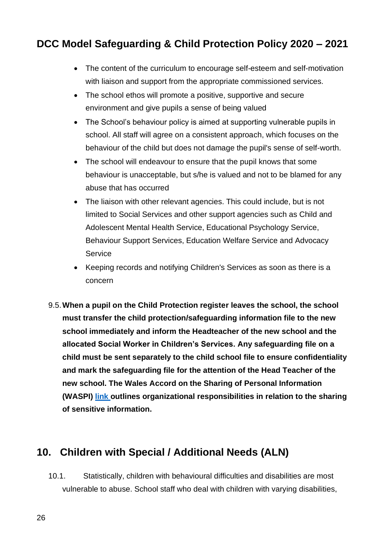- The content of the curriculum to encourage self-esteem and self-motivation with liaison and support from the appropriate commissioned services.
- The school ethos will promote a positive, supportive and secure environment and give pupils a sense of being valued
- The School's behaviour policy is aimed at supporting vulnerable pupils in school. All staff will agree on a consistent approach, which focuses on the behaviour of the child but does not damage the pupil's sense of self-worth.
- The school will endeavour to ensure that the pupil knows that some behaviour is unacceptable, but s/he is valued and not to be blamed for any abuse that has occurred
- The liaison with other relevant agencies. This could include, but is not limited to Social Services and other support agencies such as Child and Adolescent Mental Health Service, Educational Psychology Service, Behaviour Support Services, Education Welfare Service and Advocacy Service
- Keeping records and notifying Children's Services as soon as there is a concern
- 9.5.**When a pupil on the Child Protection register leaves the school, the school must transfer the child protection/safeguarding information file to the new school immediately and inform the Headteacher of the new school and the allocated Social Worker in Children's Services. Any safeguarding file on a child must be sent separately to the child school file to ensure confidentiality and mark the safeguarding file for the attention of the Head Teacher of the new school. The Wales Accord on the Sharing of Personal Information (WASPI) [link o](http://www.waspi.org/home)utlines organizational responsibilities in relation to the sharing of sensitive information.**

#### <span id="page-25-0"></span>**10. Children with Special / Additional Needs (ALN)**

10.1. Statistically, children with behavioural difficulties and disabilities are most vulnerable to abuse. School staff who deal with children with varying disabilities,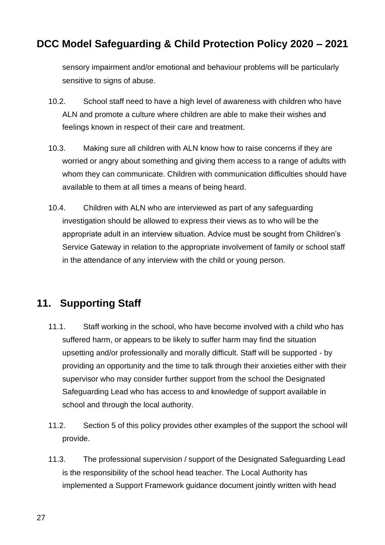sensory impairment and/or emotional and behaviour problems will be particularly sensitive to signs of abuse.

- 10.2. School staff need to have a high level of awareness with children who have ALN and promote a culture where children are able to make their wishes and feelings known in respect of their care and treatment.
- 10.3. Making sure all children with ALN know how to raise concerns if they are worried or angry about something and giving them access to a range of adults with whom they can communicate. Children with communication difficulties should have available to them at all times a means of being heard.
- 10.4. Children with ALN who are interviewed as part of any safeguarding investigation should be allowed to express their views as to who will be the appropriate adult in an interview situation. Advice must be sought from Children's Service Gateway in relation to the appropriate involvement of family or school staff in the attendance of any interview with the child or young person.

#### <span id="page-26-0"></span>**11. Supporting Staff**

- 11.1. Staff working in the school, who have become involved with a child who has suffered harm, or appears to be likely to suffer harm may find the situation upsetting and/or professionally and morally difficult. Staff will be supported - by providing an opportunity and the time to talk through their anxieties either with their supervisor who may consider further support from the school the Designated Safeguarding Lead who has access to and knowledge of support available in school and through the local authority.
- 11.2. Section 5 of this policy provides other examples of the support the school will provide.
- 11.3. The professional supervision / support of the Designated Safeguarding Lead is the responsibility of the school head teacher. The Local Authority has implemented a Support Framework guidance document jointly written with head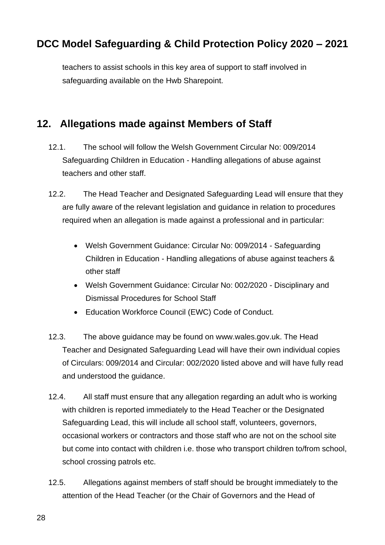teachers to assist schools in this key area of support to staff involved in safeguarding available on the Hwb Sharepoint.

#### <span id="page-27-0"></span>**12. Allegations made against Members of Staff**

- 12.1. The school will follow the Welsh Government Circular No: 009/2014 Safeguarding Children in Education - Handling allegations of abuse against teachers and other staff.
- 12.2. The Head Teacher and Designated Safeguarding Lead will ensure that they are fully aware of the relevant legislation and guidance in relation to procedures required when an allegation is made against a professional and in particular:
	- Welsh Government Guidance: Circular No: 009/2014 Safeguarding Children in Education - Handling allegations of abuse against teachers & other staff
	- Welsh Government Guidance: Circular No: 002/2020 Disciplinary and Dismissal Procedures for School Staff
	- Education Workforce Council (EWC) Code of Conduct.
- 12.3. The above guidance may be found on www.wales.gov.uk. The Head Teacher and Designated Safeguarding Lead will have their own individual copies of Circulars: 009/2014 and Circular: 002/2020 listed above and will have fully read and understood the guidance.
- 12.4. All staff must ensure that any allegation regarding an adult who is working with children is reported immediately to the Head Teacher or the Designated Safeguarding Lead, this will include all school staff, volunteers, governors, occasional workers or contractors and those staff who are not on the school site but come into contact with children i.e. those who transport children to/from school, school crossing patrols etc.
- 12.5. Allegations against members of staff should be brought immediately to the attention of the Head Teacher (or the Chair of Governors and the Head of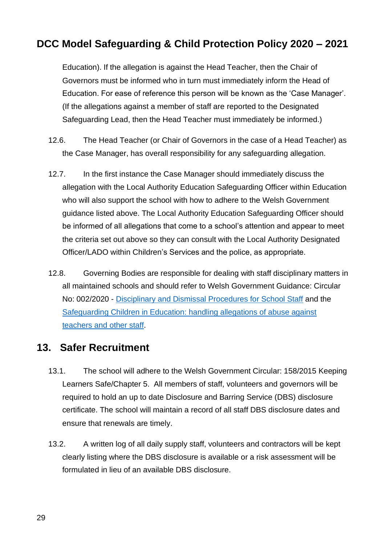Education). If the allegation is against the Head Teacher, then the Chair of Governors must be informed who in turn must immediately inform the Head of Education. For ease of reference this person will be known as the 'Case Manager'. (If the allegations against a member of staff are reported to the Designated Safeguarding Lead, then the Head Teacher must immediately be informed.)

- 12.6. The Head Teacher (or Chair of Governors in the case of a Head Teacher) as the Case Manager, has overall responsibility for any safeguarding allegation.
- 12.7. In the first instance the Case Manager should immediately discuss the allegation with the Local Authority Education Safeguarding Officer within Education who will also support the school with how to adhere to the Welsh Government guidance listed above. The Local Authority Education Safeguarding Officer should be informed of all allegations that come to a school's attention and appear to meet the criteria set out above so they can consult with the Local Authority Designated Officer/LADO within Children's Services and the police, as appropriate.
- 12.8. Governing Bodies are responsible for dealing with staff disciplinary matters in all maintained schools and should refer to Welsh Government Guidance: Circular No: 002/2020 - [Disciplinary and Dismissal Procedures for School Staff](https://gov.wales/disciplinary-and-dismissal-procedures-school-staff) and the [Safeguarding Children in Education: handling allegations of abuse against](https://gov.wales/sites/default/files/publications/2018-11/safeguarding-children-in-education-handling-allegations-of-abuse-against-teachers-and-other-staff.pdf)  [teachers and other staff.](https://gov.wales/sites/default/files/publications/2018-11/safeguarding-children-in-education-handling-allegations-of-abuse-against-teachers-and-other-staff.pdf)

#### <span id="page-28-0"></span>**13. Safer Recruitment**

- 13.1. The school will adhere to the Welsh Government Circular: 158/2015 Keeping Learners Safe/Chapter 5. All members of staff, volunteers and governors will be required to hold an up to date Disclosure and Barring Service (DBS) disclosure certificate. The school will maintain a record of all staff DBS disclosure dates and ensure that renewals are timely.
- 13.2. A written log of all daily supply staff, volunteers and contractors will be kept clearly listing where the DBS disclosure is available or a risk assessment will be formulated in lieu of an available DBS disclosure.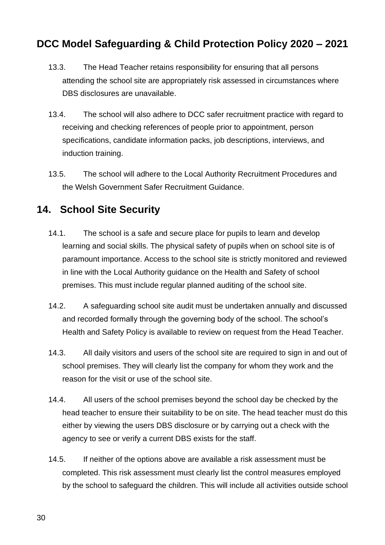- 13.3. The Head Teacher retains responsibility for ensuring that all persons attending the school site are appropriately risk assessed in circumstances where DBS disclosures are unavailable.
- 13.4. The school will also adhere to DCC safer recruitment practice with regard to receiving and checking references of people prior to appointment, person specifications, candidate information packs, job descriptions, interviews, and induction training.
- 13.5. The school will adhere to the Local Authority Recruitment Procedures and the Welsh Government Safer Recruitment Guidance.

#### <span id="page-29-0"></span>**14. School Site Security**

- 14.1. The school is a safe and secure place for pupils to learn and develop learning and social skills. The physical safety of pupils when on school site is of paramount importance. Access to the school site is strictly monitored and reviewed in line with the Local Authority guidance on the Health and Safety of school premises. This must include regular planned auditing of the school site.
- 14.2. A safeguarding school site audit must be undertaken annually and discussed and recorded formally through the governing body of the school. The school's Health and Safety Policy is available to review on request from the Head Teacher.
- 14.3. All daily visitors and users of the school site are required to sign in and out of school premises. They will clearly list the company for whom they work and the reason for the visit or use of the school site.
- 14.4. All users of the school premises beyond the school day be checked by the head teacher to ensure their suitability to be on site. The head teacher must do this either by viewing the users DBS disclosure or by carrying out a check with the agency to see or verify a current DBS exists for the staff.
- 14.5. If neither of the options above are available a risk assessment must be completed. This risk assessment must clearly list the control measures employed by the school to safeguard the children. This will include all activities outside school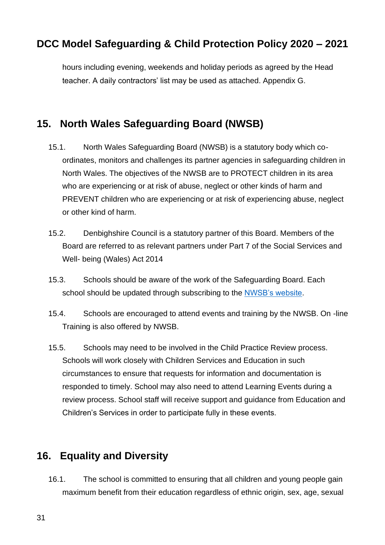hours including evening, weekends and holiday periods as agreed by the Head teacher. A daily contractors' list may be used as attached. Appendix G.

#### <span id="page-30-0"></span>**15. North Wales Safeguarding Board (NWSB)**

- 15.1. North Wales Safeguarding Board (NWSB) is a statutory body which coordinates, monitors and challenges its partner agencies in safeguarding children in North Wales. The objectives of the NWSB are to PROTECT children in its area who are experiencing or at risk of abuse, neglect or other kinds of harm and PREVENT children who are experiencing or at risk of experiencing abuse, neglect or other kind of harm.
- 15.2. Denbighshire Council is a statutory partner of this Board. Members of the Board are referred to as relevant partners under Part 7 of the Social Services and Well- being (Wales) Act 2014
- 15.3. Schools should be aware of the work of the Safeguarding Board. Each school should be updated through subscribing to the [NWSB's website](https://www.northwalessafeguardingboard.wales/wales-safeguarding-procedures-coming-soon/).
- 15.4. Schools are encouraged to attend events and training by the NWSB. On -line Training is also offered by NWSB.
- 15.5. Schools may need to be involved in the Child Practice Review process. Schools will work closely with Children Services and Education in such circumstances to ensure that requests for information and documentation is responded to timely. School may also need to attend Learning Events during a review process. School staff will receive support and guidance from Education and Children's Services in order to participate fully in these events.

#### <span id="page-30-1"></span>**16. Equality and Diversity**

16.1. The school is committed to ensuring that all children and young people gain maximum benefit from their education regardless of ethnic origin, sex, age, sexual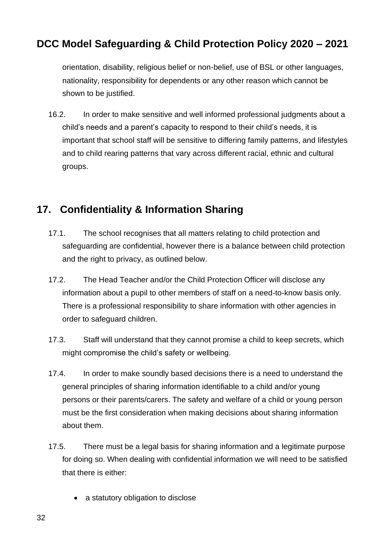orientation, disability, religious belief or non-belief, use of BSL or other languages, nationality, responsibility for dependents or any other reason which cannot be shown to be justified.

16.2. In order to make sensitive and well informed professional judgments about a child's needs and a parent's capacity to respond to their child's needs, it is important that school staff will be sensitive to differing family patterns, and lifestyles and to child rearing patterns that vary across different racial, ethnic and cultural groups.

# <span id="page-31-0"></span>**17. Confidentiality & Information Sharing**

- 17.1. The school recognises that all matters relating to child protection and safeguarding are confidential, however there is a balance between child protection and the right to privacy, as outlined below.
- 17.2. The Head Teacher and/or the Child Protection Officer will disclose any information about a pupil to other members of staff on a need-to-know basis only. There is a professional responsibility to share information with other agencies in order to safeguard children.
- 17.3. Staff will understand that they cannot promise a child to keep secrets, which might compromise the child's safety or wellbeing.
- 17.4. In order to make soundly based decisions there is a need to understand the general principles of sharing information identifiable to a child and/or young persons or their parents/carers. The safety and welfare of a child or young person must be the first consideration when making decisions about sharing information about them.
- 17.5. There must be a legal basis for sharing information and a legitimate purpose for doing so. When dealing with confidential information we will need to be satisfied that there is either:
	- a statutory obligation to disclose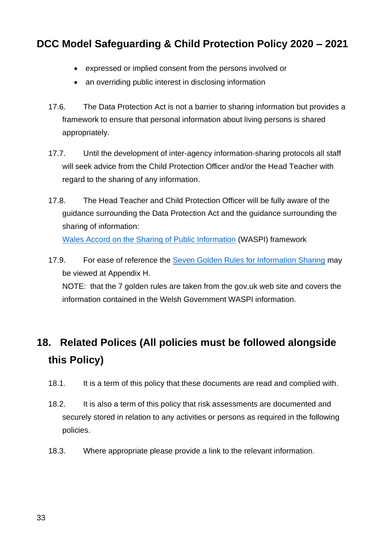- expressed or implied consent from the persons involved or
- an overriding public interest in disclosing information
- 17.6. The Data Protection Act is not a barrier to sharing information but provides a framework to ensure that personal information about living persons is shared appropriately.
- 17.7. Until the development of inter-agency information-sharing protocols all staff will seek advice from the Child Protection Officer and/or the Head Teacher with regard to the sharing of any information.
- 17.8. The Head Teacher and Child Protection Officer will be fully aware of the guidance surrounding the Data Protection Act and the guidance surrounding the sharing of information: [Wales Accord on the Sharing of Public Information](http://www.waspi.org/) (WASPI) framework
- 17.9. For ease of reference the [Seven Golden Rules for Information Sharing](https://www.gov.uk/government/uploads/system/uploads/attachment_data/file/417696/Archived-information_sharing_guidance_for_practitioners_and_managers.pdf) may be viewed at Appendix H.

NOTE: that the 7 golden rules are taken from the gov.uk web site and covers the information contained in the Welsh Government WASPI information.

# <span id="page-32-0"></span>**18. Related Polices (All policies must be followed alongside this Policy)**

- 18.1. It is a term of this policy that these documents are read and complied with.
- 18.2. It is also a term of this policy that risk assessments are documented and securely stored in relation to any activities or persons as required in the following policies.
- 18.3. Where appropriate please provide a link to the relevant information.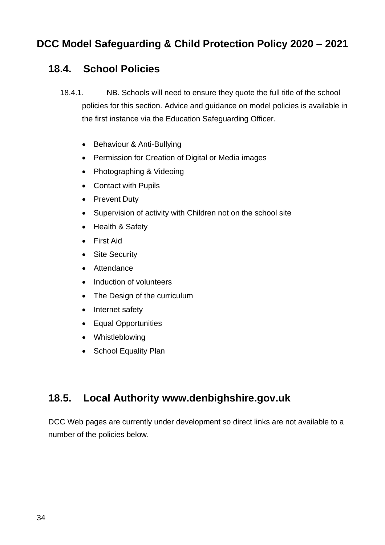#### <span id="page-33-0"></span>**18.4. School Policies**

- 18.4.1. NB. Schools will need to ensure they quote the full title of the school policies for this section. Advice and guidance on model policies is available in the first instance via the Education Safeguarding Officer.
	- Behaviour & Anti-Bullying
	- Permission for Creation of Digital or Media images
	- Photographing & Videoing
	- Contact with Pupils
	- Prevent Duty
	- Supervision of activity with Children not on the school site
	- Health & Safety
	- First Aid
	- Site Security
	- Attendance
	- Induction of volunteers
	- The Design of the curriculum
	- Internet safety
	- Equal Opportunities
	- Whistleblowing
	- School Equality Plan

#### <span id="page-33-1"></span>**18.5. Local Authority www.denbighshire.gov.uk**

DCC Web pages are currently under development so direct links are not available to a number of the policies below.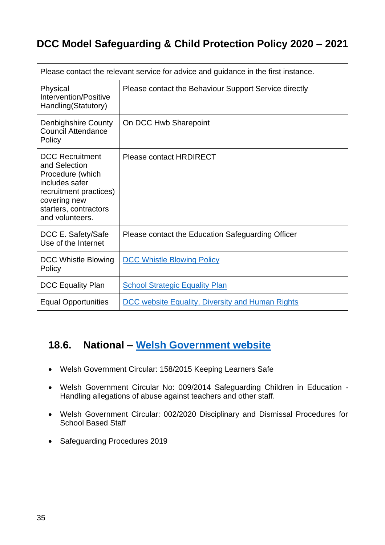| Please contact the relevant service for advice and guidance in the first instance.                                                                                  |                                                         |  |
|---------------------------------------------------------------------------------------------------------------------------------------------------------------------|---------------------------------------------------------|--|
| Physical<br>Intervention/Positive<br>Handling(Statutory)                                                                                                            | Please contact the Behaviour Support Service directly   |  |
| <b>Denbighshire County</b><br><b>Council Attendance</b><br>Policy                                                                                                   | On DCC Hwb Sharepoint                                   |  |
| <b>DCC Recruitment</b><br>and Selection<br>Procedure (which<br>includes safer<br>recruitment practices)<br>covering new<br>starters, contractors<br>and volunteers. | <b>Please contact HRDIRECT</b>                          |  |
| DCC E. Safety/Safe<br>Use of the Internet                                                                                                                           | Please contact the Education Safeguarding Officer       |  |
| DCC Whistle Blowing<br>Policy                                                                                                                                       | <b>DCC Whistle Blowing Policy</b>                       |  |
| <b>DCC Equality Plan</b>                                                                                                                                            | <b>School Strategic Equality Plan</b>                   |  |
| <b>Equal Opportunities</b>                                                                                                                                          | <b>DCC website Equality, Diversity and Human Rights</b> |  |

#### <span id="page-34-0"></span>**18.6. National – [Welsh Government website](http://gov.wales/)**

- Welsh Government Circular: 158/2015 Keeping Learners Safe
- Welsh Government Circular No: 009/2014 Safeguarding Children in Education Handling allegations of abuse against teachers and other staff.
- Welsh Government Circular: 002/2020 Disciplinary and Dismissal Procedures for School Based Staff
- Safeguarding Procedures 2019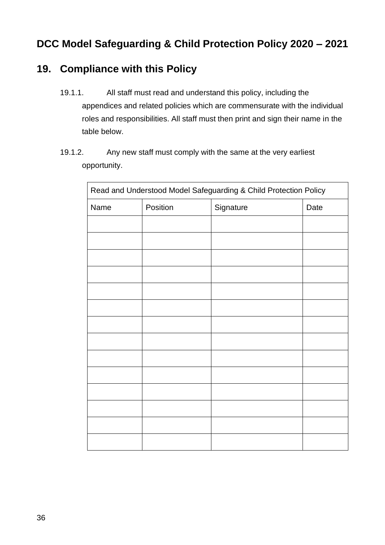#### <span id="page-35-0"></span>**19. Compliance with this Policy**

- 19.1.1. All staff must read and understand this policy, including the appendices and related policies which are commensurate with the individual roles and responsibilities. All staff must then print and sign their name in the table below.
- 19.1.2. Any new staff must comply with the same at the very earliest opportunity.

| Read and Understood Model Safeguarding & Child Protection Policy |          |           |      |
|------------------------------------------------------------------|----------|-----------|------|
| Name                                                             | Position | Signature | Date |
|                                                                  |          |           |      |
|                                                                  |          |           |      |
|                                                                  |          |           |      |
|                                                                  |          |           |      |
|                                                                  |          |           |      |
|                                                                  |          |           |      |
|                                                                  |          |           |      |
|                                                                  |          |           |      |
|                                                                  |          |           |      |
|                                                                  |          |           |      |
|                                                                  |          |           |      |
|                                                                  |          |           |      |
|                                                                  |          |           |      |
|                                                                  |          |           |      |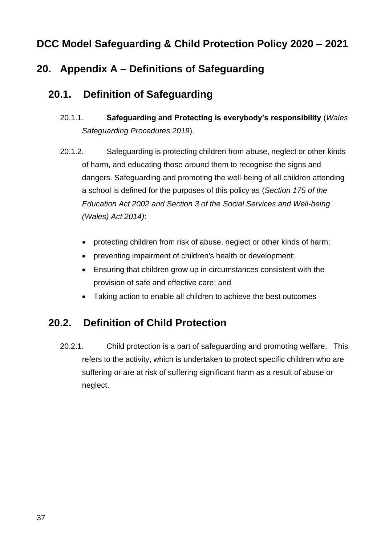# **20. Appendix A – Definitions of Safeguarding**

#### **20.1. Definition of Safeguarding**

- 20.1.1. **Safeguarding and Protecting is everybody's responsibility** (*Wales Safeguarding Procedures 2019*).
- 20.1.2. Safeguarding is protecting children from abuse, neglect or other kinds of harm, and educating those around them to recognise the signs and dangers. Safeguarding and promoting the well-being of all children attending a school is defined for the purposes of this policy as (*Section 175 of the Education Act 2002 and Section 3 of the Social Services and Well-being (Wales) Act 2014)*:
	- protecting children from risk of abuse, neglect or other kinds of harm;
	- preventing impairment of children's health or development;
	- Ensuring that children grow up in circumstances consistent with the provision of safe and effective care; and
	- Taking action to enable all children to achieve the best outcomes

# **20.2. Definition of Child Protection**

20.2.1. Child protection is a part of safeguarding and promoting welfare. This refers to the activity, which is undertaken to protect specific children who are suffering or are at risk of suffering significant harm as a result of abuse or neglect.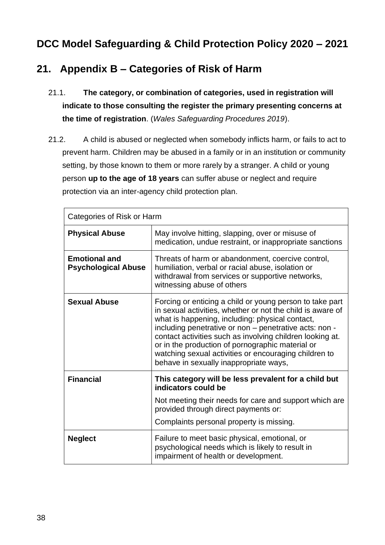# **21. Appendix B – Categories of Risk of Harm**

- 21.1. **The category, or combination of categories, used in registration will indicate to those consulting the register the primary presenting concerns at the time of registration**. (*Wales Safeguarding Procedures 2019*).
- 21.2. A child is abused or neglected when somebody inflicts harm, or fails to act to prevent harm. Children may be abused in a family or in an institution or community setting, by those known to them or more rarely by a stranger. A child or young person **up to the age of 18 years** can suffer abuse or neglect and require protection via an inter-agency child protection plan.

| Categories of Risk or Harm                         |                                                                                                                                                                                                                                                                                                                                                                                                                                                         |
|----------------------------------------------------|---------------------------------------------------------------------------------------------------------------------------------------------------------------------------------------------------------------------------------------------------------------------------------------------------------------------------------------------------------------------------------------------------------------------------------------------------------|
| <b>Physical Abuse</b>                              | May involve hitting, slapping, over or misuse of<br>medication, undue restraint, or inappropriate sanctions                                                                                                                                                                                                                                                                                                                                             |
| <b>Emotional and</b><br><b>Psychological Abuse</b> | Threats of harm or abandonment, coercive control,<br>humiliation, verbal or racial abuse, isolation or<br>withdrawal from services or supportive networks,<br>witnessing abuse of others                                                                                                                                                                                                                                                                |
| <b>Sexual Abuse</b>                                | Forcing or enticing a child or young person to take part<br>in sexual activities, whether or not the child is aware of<br>what is happening, including: physical contact,<br>including penetrative or non - penetrative acts: non -<br>contact activities such as involving children looking at.<br>or in the production of pornographic material or<br>watching sexual activities or encouraging children to<br>behave in sexually inappropriate ways, |
| <b>Financial</b>                                   | This category will be less prevalent for a child but<br>indicators could be                                                                                                                                                                                                                                                                                                                                                                             |
|                                                    | Not meeting their needs for care and support which are<br>provided through direct payments or:                                                                                                                                                                                                                                                                                                                                                          |
|                                                    | Complaints personal property is missing.                                                                                                                                                                                                                                                                                                                                                                                                                |
| <b>Neglect</b>                                     | Failure to meet basic physical, emotional, or<br>psychological needs which is likely to result in<br>impairment of health or development.                                                                                                                                                                                                                                                                                                               |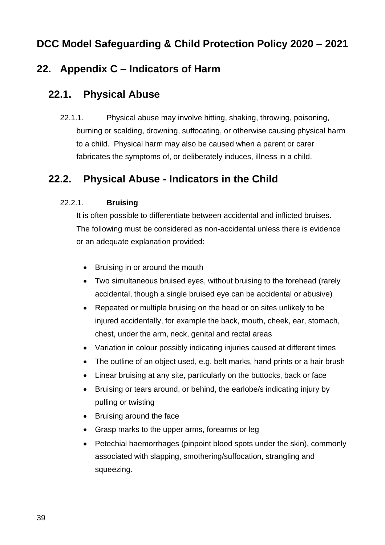## **22. Appendix C – Indicators of Harm**

#### **22.1. Physical Abuse**

22.1.1. Physical abuse may involve hitting, shaking, throwing, poisoning, burning or scalding, drowning, suffocating, or otherwise causing physical harm to a child. Physical harm may also be caused when a parent or carer fabricates the symptoms of, or deliberately induces, illness in a child.

### **22.2. Physical Abuse - Indicators in the Child**

#### 22.2.1. **Bruising**

It is often possible to differentiate between accidental and inflicted bruises. The following must be considered as non-accidental unless there is evidence or an adequate explanation provided:

- Bruising in or around the mouth
- Two simultaneous bruised eyes, without bruising to the forehead (rarely accidental, though a single bruised eye can be accidental or abusive)
- Repeated or multiple bruising on the head or on sites unlikely to be injured accidentally, for example the back, mouth, cheek, ear, stomach, chest, under the arm, neck, genital and rectal areas
- Variation in colour possibly indicating injuries caused at different times
- The outline of an object used, e.g. belt marks, hand prints or a hair brush
- Linear bruising at any site, particularly on the buttocks, back or face
- Bruising or tears around, or behind, the earlobe/s indicating injury by pulling or twisting
- Bruising around the face
- Grasp marks to the upper arms, forearms or leg
- Petechial haemorrhages (pinpoint blood spots under the skin), commonly associated with slapping, smothering/suffocation, strangling and squeezing.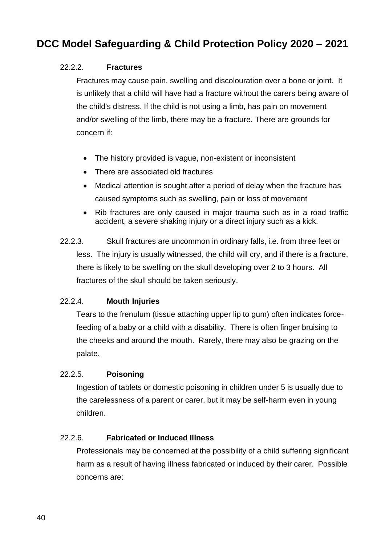#### 22.2.2. **Fractures**

Fractures may cause pain, swelling and discolouration over a bone or joint. It is unlikely that a child will have had a fracture without the carers being aware of the child's distress. If the child is not using a limb, has pain on movement and/or swelling of the limb, there may be a fracture. There are grounds for concern if:

- The history provided is vague, non-existent or inconsistent
- There are associated old fractures
- Medical attention is sought after a period of delay when the fracture has caused symptoms such as swelling, pain or loss of movement
- Rib fractures are only caused in major trauma such as in a road traffic accident, a severe shaking injury or a direct injury such as a kick.
- 22.2.3. Skull fractures are uncommon in ordinary falls, i.e. from three feet or less. The injury is usually witnessed, the child will cry, and if there is a fracture, there is likely to be swelling on the skull developing over 2 to 3 hours. All fractures of the skull should be taken seriously.

#### 22.2.4. **Mouth Injuries**

Tears to the frenulum (tissue attaching upper lip to gum) often indicates forcefeeding of a baby or a child with a disability. There is often finger bruising to the cheeks and around the mouth. Rarely, there may also be grazing on the palate.

#### 22.2.5. **Poisoning**

Ingestion of tablets or domestic poisoning in children under 5 is usually due to the carelessness of a parent or carer, but it may be self-harm even in young children.

#### 22.2.6. **Fabricated or Induced Illness**

Professionals may be concerned at the possibility of a child suffering [significant](http://www.proceduresonline.com/herts_scb/keywords/significant_harm.html)  [harm](http://www.proceduresonline.com/herts_scb/keywords/significant_harm.html) as a result of having illness fabricated or induced by their carer. Possible concerns are: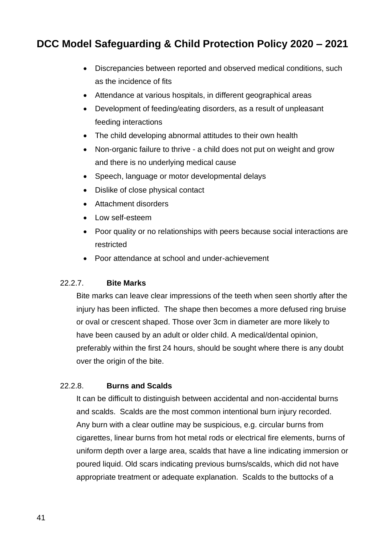- Discrepancies between reported and observed medical conditions, such as the incidence of fits
- Attendance at various hospitals, in different geographical areas
- Development of feeding/eating disorders, as a result of unpleasant feeding interactions
- The child developing abnormal attitudes to their own health
- Non-organic failure to thrive a child does not put on weight and grow and there is no underlying medical cause
- Speech, language or motor developmental delays
- Dislike of close physical contact
- Attachment disorders
- Low self-esteem
- Poor quality or no relationships with peers because social interactions are restricted
- Poor attendance at school and under-achievement

#### 22.2.7. **Bite Marks**

Bite marks can leave clear impressions of the teeth when seen shortly after the injury has been inflicted. The shape then becomes a more defused ring bruise or oval or crescent shaped. Those over 3cm in diameter are more likely to have been caused by an adult or older child. A medical/dental opinion, preferably within the first 24 hours, should be sought where there is any doubt over the origin of the bite.

#### 22.2.8. **Burns and Scalds**

It can be difficult to distinguish between accidental and non-accidental burns and scalds. Scalds are the most common intentional burn injury recorded. Any burn with a clear outline may be suspicious, e.g. circular burns from cigarettes, linear burns from hot metal rods or electrical fire elements, burns of uniform depth over a large area, scalds that have a line indicating immersion or poured liquid. Old scars indicating previous burns/scalds, which did not have appropriate treatment or adequate explanation. Scalds to the buttocks of a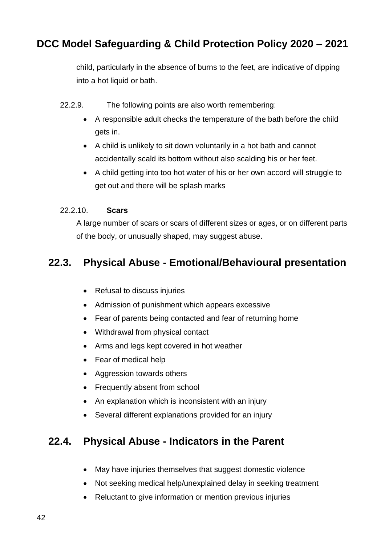child, particularly in the absence of burns to the feet, are indicative of dipping into a hot liquid or bath.

- 22.2.9. The following points are also worth remembering:
	- A responsible adult checks the temperature of the bath before the child gets in.
	- A child is unlikely to sit down voluntarily in a hot bath and cannot accidentally scald its bottom without also scalding his or her feet.
	- A child getting into too hot water of his or her own accord will struggle to get out and there will be splash marks

#### 22.2.10. **Scars**

A large number of scars or scars of different sizes or ages, or on different parts of the body, or unusually shaped, may suggest abuse.

#### **22.3. Physical Abuse - Emotional/Behavioural presentation**

- Refusal to discuss injuries
- Admission of punishment which appears excessive
- Fear of parents being contacted and fear of returning home
- Withdrawal from physical contact
- Arms and legs kept covered in hot weather
- Fear of medical help
- Aggression towards others
- Frequently absent from school
- An explanation which is inconsistent with an injury
- Several different explanations provided for an injury

#### **22.4. Physical Abuse - Indicators in the Parent**

- May have injuries themselves that suggest domestic violence
- Not seeking medical help/unexplained delay in seeking treatment
- Reluctant to give information or mention previous injuries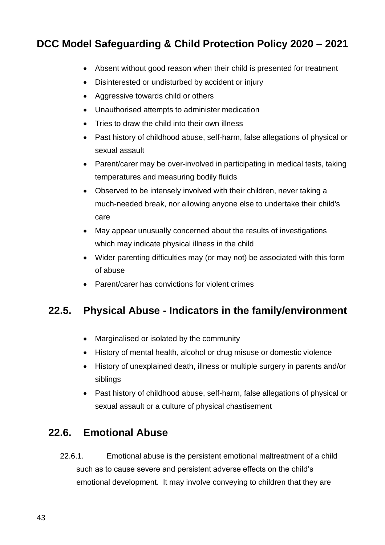- Absent without good reason when their child is presented for treatment
- Disinterested or undisturbed by accident or injury
- Aggressive towards child or others
- Unauthorised attempts to administer medication
- Tries to draw the child into their own illness
- Past history of childhood abuse, self-harm, false allegations of physical or sexual assault
- Parent/carer may be over-involved in participating in medical tests, taking temperatures and measuring bodily fluids
- Observed to be intensely involved with their children, never taking a much-needed break, nor allowing anyone else to undertake their child's care
- May appear unusually concerned about the results of investigations which may indicate physical illness in the child
- Wider parenting difficulties may (or may not) be associated with this form of abuse
- Parent/carer has convictions for violent crimes

# **22.5. Physical Abuse - Indicators in the family/environment**

- Marginalised or isolated by the community
- History of mental health, alcohol or drug misuse or domestic violence
- History of unexplained death, illness or multiple surgery in parents and/or siblings
- Past history of childhood abuse, self-harm, false allegations of physical or sexual assault or a culture of physical chastisement

### **22.6. Emotional Abuse**

22.6.1. Emotional abuse is the persistent emotional maltreatment of a child such as to cause severe and persistent adverse effects on the child's emotional development. It may involve conveying to children that they are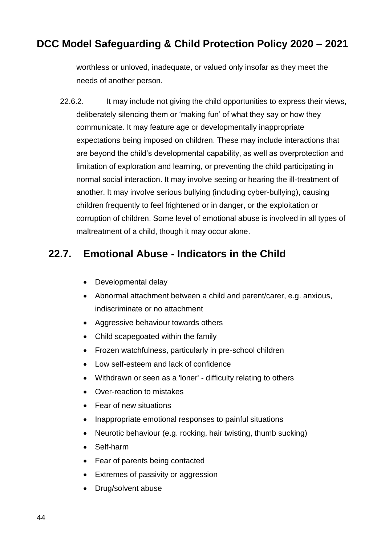worthless or unloved, inadequate, or valued only insofar as they meet the needs of another person.

22.6.2. It may include not giving the child opportunities to express their views, deliberately silencing them or 'making fun' of what they say or how they communicate. It may feature age or developmentally inappropriate expectations being imposed on children. These may include interactions that are beyond the child's developmental capability, as well as overprotection and limitation of exploration and learning, or preventing the child participating in normal social interaction. It may involve seeing or hearing the ill-treatment of another. It may involve serious bullying (including cyber-bullying), causing children frequently to feel frightened or in danger, or the exploitation or corruption of children. Some level of emotional abuse is involved in all types of maltreatment of a child, though it may occur alone.

## **22.7. Emotional Abuse - Indicators in the Child**

- Developmental delay
- Abnormal attachment between a child and parent/carer, e.g. anxious, indiscriminate or no attachment
- Aggressive behaviour towards others
- Child scapegoated within the family
- Frozen watchfulness, particularly in pre-school children
- Low self-esteem and lack of confidence
- Withdrawn or seen as a 'loner' difficulty relating to others
- Over-reaction to mistakes
- Fear of new situations
- Inappropriate emotional responses to painful situations
- Neurotic behaviour (e.g. rocking, hair twisting, thumb sucking)
- Self-harm
- Fear of parents being contacted
- Extremes of passivity or aggression
- Drug/solvent abuse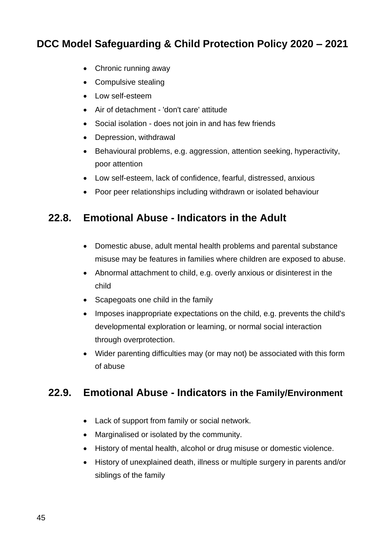- Chronic running away
- Compulsive stealing
- Low self-esteem
- Air of detachment 'don't care' attitude
- Social isolation does not join in and has few friends
- Depression, withdrawal
- Behavioural problems, e.g. aggression, attention seeking, hyperactivity, poor attention
- Low self-esteem, lack of confidence, fearful, distressed, anxious
- Poor peer relationships including withdrawn or isolated behaviour

### **22.8. Emotional Abuse - Indicators in the Adult**

- Domestic abuse, adult mental health problems and parental substance misuse may be features in families where children are exposed to abuse.
- Abnormal attachment to child, e.g. overly anxious or disinterest in the child
- Scapegoats one child in the family
- Imposes inappropriate expectations on the child, e.g. prevents the child's developmental exploration or learning, or normal social interaction through overprotection.
- Wider parenting difficulties may (or may not) be associated with this form of abuse

#### **22.9. Emotional Abuse - Indicators in the Family/Environment**

- Lack of support from family or social network.
- Marginalised or isolated by the community.
- History of mental health, alcohol or drug misuse or domestic violence.
- History of unexplained death, illness or multiple surgery in parents and/or siblings of the family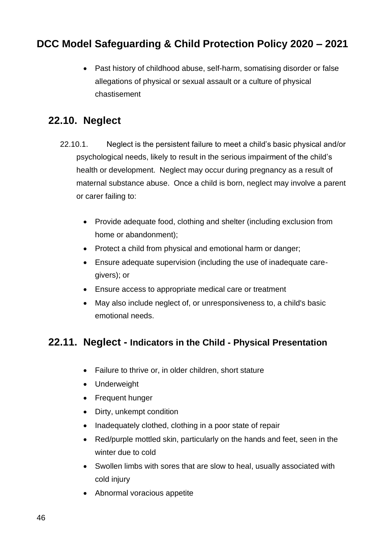• Past history of childhood abuse, self-harm, somatising disorder or false allegations of physical or sexual assault or a culture of physical chastisement

#### **22.10. Neglect**

- 22.10.1. Neglect is the persistent failure to meet a child's basic physical and/or psychological needs, likely to result in the serious impairment of the child's health or development. Neglect may occur during pregnancy as a result of maternal substance abuse. Once a child is born, neglect may involve a parent or carer failing to:
	- Provide adequate food, clothing and shelter (including exclusion from home or abandonment);
	- Protect a child from physical and emotional harm or danger;
	- Ensure adequate supervision (including the use of inadequate caregivers); or
	- Ensure access to appropriate medical care or treatment
	- May also include neglect of, or unresponsiveness to, a child's basic emotional needs.

#### **22.11. Neglect - Indicators in the Child - Physical Presentation**

- Failure to thrive or, in older children, short stature
- Underweight
- Frequent hunger
- Dirty, unkempt condition
- Inadequately clothed, clothing in a poor state of repair
- Red/purple mottled skin, particularly on the hands and feet, seen in the winter due to cold
- Swollen limbs with sores that are slow to heal, usually associated with cold injury
- Abnormal voracious appetite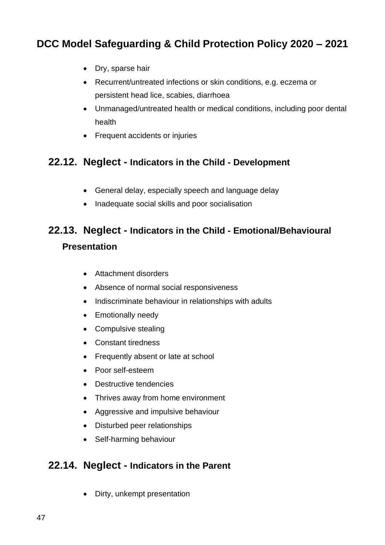- Dry, sparse hair
- Recurrent/untreated infections or skin conditions, e.g. eczema or persistent head lice, scabies, diarrhoea
- Unmanaged/untreated health or medical conditions, including poor dental health
- Frequent accidents or injuries

#### **22.12. Neglect - Indicators in the Child - Development**

- General delay, especially speech and language delay
- Inadequate social skills and poor socialisation

# **22.13. Neglect - Indicators in the Child - Emotional/Behavioural Presentation**

- Attachment disorders
- Absence of normal social responsiveness
- Indiscriminate behaviour in relationships with adults
- Emotionally needy
- Compulsive stealing
- Constant tiredness
- Frequently absent or late at school
- Poor self-esteem
- Destructive tendencies
- Thrives away from home environment
- Aggressive and impulsive behaviour
- Disturbed peer relationships
- Self-harming behaviour

#### **22.14. Neglect - Indicators in the Parent**

• Dirty, unkempt presentation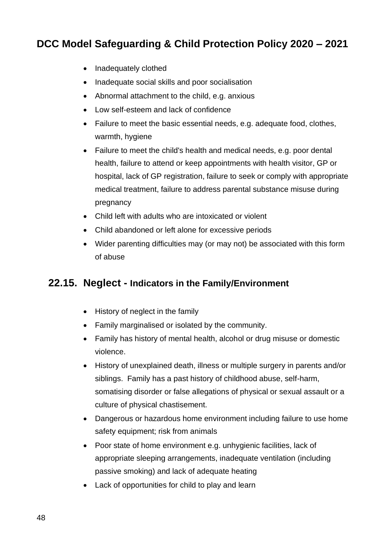- Inadequately clothed
- Inadequate social skills and poor socialisation
- Abnormal attachment to the child, e.g. anxious
- Low self-esteem and lack of confidence
- Failure to meet the basic essential needs, e.g. adequate food, clothes, warmth, hygiene
- Failure to meet the child's health and medical needs, e.g. poor dental health, failure to attend or keep appointments with health visitor, GP or hospital, lack of GP registration, failure to seek or comply with appropriate medical treatment, failure to address parental substance misuse during pregnancy
- Child left with adults who are intoxicated or violent
- Child abandoned or left alone for excessive periods
- Wider parenting difficulties may (or may not) be associated with this form of abuse

#### **22.15. Neglect - Indicators in the Family/Environment**

- History of neglect in the family
- Family marginalised or isolated by the community.
- Family has history of mental health, alcohol or drug misuse or domestic violence.
- History of unexplained death, illness or multiple surgery in parents and/or siblings. Family has a past history of childhood abuse, self-harm, somatising disorder or false allegations of physical or sexual assault or a culture of physical chastisement.
- Dangerous or hazardous home environment including failure to use home safety equipment; risk from animals
- Poor state of home environment e.g. unhygienic facilities, lack of appropriate sleeping arrangements, inadequate ventilation (including passive smoking) and lack of adequate heating
- Lack of opportunities for child to play and learn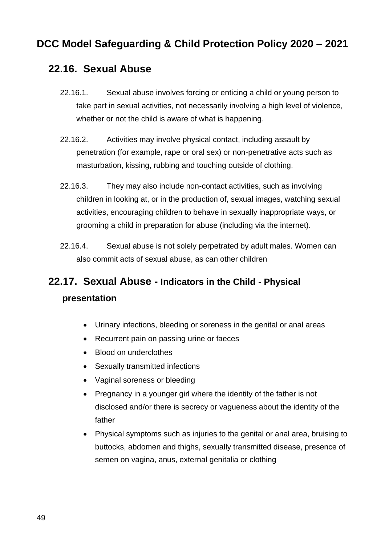#### **22.16. Sexual Abuse**

- 22.16.1. Sexual abuse involves forcing or enticing a child or young person to take part in sexual activities, not necessarily involving a high level of violence, whether or not the child is aware of what is happening.
- 22.16.2. Activities may involve physical contact, including assault by penetration (for example, rape or oral sex) or non-penetrative acts such as masturbation, kissing, rubbing and touching outside of clothing.
- 22.16.3. They may also include non-contact activities, such as involving children in looking at, or in the production of, sexual images, watching sexual activities, encouraging children to behave in sexually inappropriate ways, or grooming a child in preparation for abuse (including via the internet).
- 22.16.4. Sexual abuse is not solely perpetrated by adult males. Women can also commit acts of sexual abuse, as can other children

# **22.17. Sexual Abuse - Indicators in the Child - Physical presentation**

- Urinary infections, bleeding or soreness in the genital or anal areas
- Recurrent pain on passing urine or faeces
- Blood on underclothes
- Sexually transmitted infections
- Vaginal soreness or bleeding
- Pregnancy in a younger girl where the identity of the father is not disclosed and/or there is secrecy or vagueness about the identity of the father
- Physical symptoms such as injuries to the genital or anal area, bruising to buttocks, abdomen and thighs, sexually transmitted disease, presence of semen on vagina, anus, external genitalia or clothing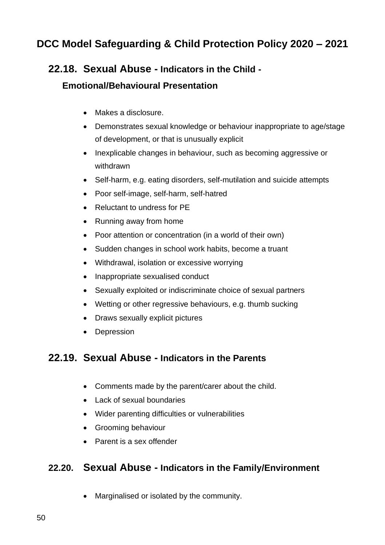#### **22.18. Sexual Abuse - Indicators in the Child -**

#### **Emotional/Behavioural Presentation**

- Makes a disclosure.
- Demonstrates sexual knowledge or behaviour inappropriate to age/stage of development, or that is unusually explicit
- Inexplicable changes in behaviour, such as becoming aggressive or withdrawn
- Self-harm, e.g. eating disorders, self-mutilation and suicide attempts
- Poor self-image, self-harm, self-hatred
- Reluctant to undress for PE
- Running away from home
- Poor attention or concentration (in a world of their own)
- Sudden changes in school work habits, become a truant
- Withdrawal, isolation or excessive worrying
- Inappropriate sexualised conduct
- Sexually exploited or indiscriminate choice of sexual partners
- Wetting or other regressive behaviours, e.g. thumb sucking
- Draws sexually explicit pictures
- Depression

#### **22.19. Sexual Abuse - Indicators in the Parents**

- Comments made by the parent/carer about the child.
- Lack of sexual boundaries
- Wider parenting difficulties or vulnerabilities
- Grooming behaviour
- Parent is a sex offender

#### **22.20. Sexual Abuse - Indicators in the Family/Environment**

• Marginalised or isolated by the community.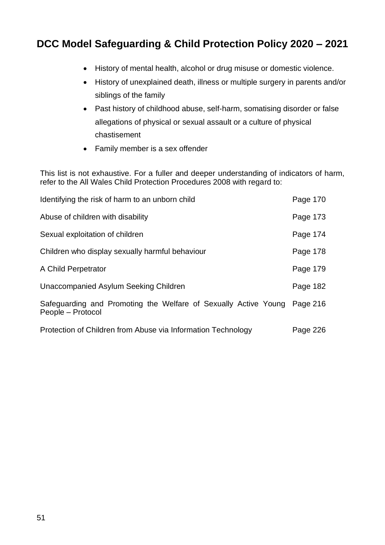- History of mental health, alcohol or drug misuse or domestic violence.
- History of unexplained death, illness or multiple surgery in parents and/or siblings of the family
- Past history of childhood abuse, self-harm, somatising disorder or false allegations of physical or sexual assault or a culture of physical chastisement
- Family member is a sex offender

This list is not exhaustive. For a fuller and deeper understanding of indicators of harm, refer to the All Wales Child Protection Procedures 2008 with regard to:

| Identifying the risk of harm to an unborn child                                      | Page 170 |
|--------------------------------------------------------------------------------------|----------|
| Abuse of children with disability                                                    | Page 173 |
| Sexual exploitation of children                                                      | Page 174 |
| Children who display sexually harmful behaviour                                      | Page 178 |
| A Child Perpetrator                                                                  | Page 179 |
| Unaccompanied Asylum Seeking Children                                                | Page 182 |
| Safeguarding and Promoting the Welfare of Sexually Active Young<br>People – Protocol | Page 216 |
| Protection of Children from Abuse via Information Technology                         | Page 226 |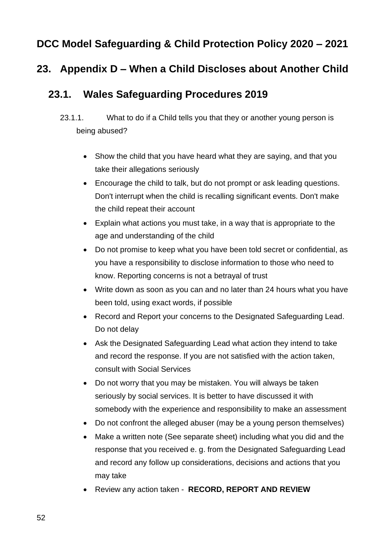#### **23. Appendix D – When a Child Discloses about Another Child**

#### **23.1. Wales Safeguarding Procedures 2019**

- 23.1.1. What to do if a Child tells you that they or another young person is being abused?
	- Show the child that you have heard what they are saying, and that you take their allegations seriously
	- Encourage the child to talk, but do not prompt or ask leading questions. Don't interrupt when the child is recalling significant events. Don't make the child repeat their account
	- Explain what actions you must take, in a way that is appropriate to the age and understanding of the child
	- Do not promise to keep what you have been told secret or confidential, as you have a responsibility to disclose information to those who need to know. Reporting concerns is not a betrayal of trust
	- Write down as soon as you can and no later than 24 hours what you have been told, using exact words, if possible
	- Record and Report your concerns to the Designated Safeguarding Lead. Do not delay
	- Ask the Designated Safeguarding Lead what action they intend to take and record the response. If you are not satisfied with the action taken, consult with Social Services
	- Do not worry that you may be mistaken. You will always be taken seriously by social services. It is better to have discussed it with somebody with the experience and responsibility to make an assessment
	- Do not confront the alleged abuser (may be a young person themselves)
	- Make a written note (See separate sheet) including what you did and the response that you received e. g. from the Designated Safeguarding Lead and record any follow up considerations, decisions and actions that you may take
	- Review any action taken **RECORD, REPORT AND REVIEW**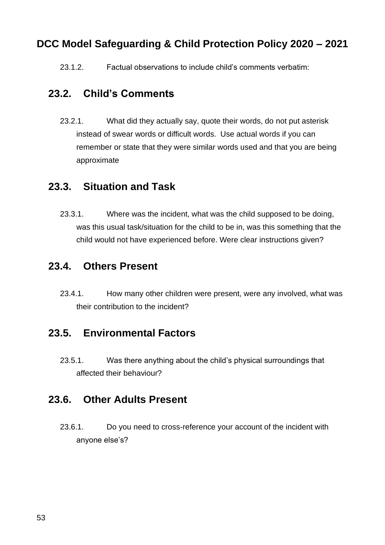23.1.2. Factual observations to include child's comments verbatim:

#### **23.2. Child's Comments**

23.2.1. What did they actually say, quote their words, do not put asterisk instead of swear words or difficult words. Use actual words if you can remember or state that they were similar words used and that you are being approximate

#### **23.3. Situation and Task**

23.3.1. Where was the incident, what was the child supposed to be doing, was this usual task/situation for the child to be in, was this something that the child would not have experienced before. Were clear instructions given?

#### **23.4. Others Present**

23.4.1. How many other children were present, were any involved, what was their contribution to the incident?

#### **23.5. Environmental Factors**

23.5.1. Was there anything about the child's physical surroundings that affected their behaviour?

#### **23.6. Other Adults Present**

23.6.1. Do you need to cross-reference your account of the incident with anyone else's?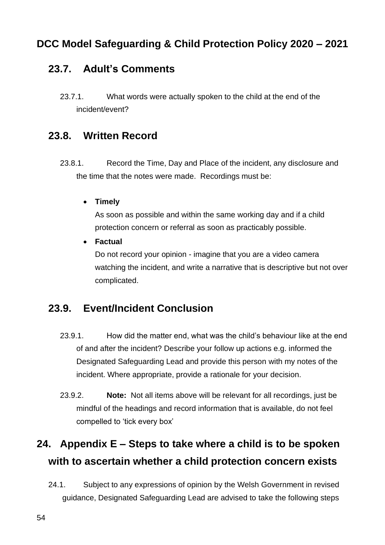### **23.7. Adult's Comments**

23.7.1. What words were actually spoken to the child at the end of the incident/event?

#### **23.8. Written Record**

- 23.8.1. Record the Time, Day and Place of the incident, any disclosure and the time that the notes were made. Recordings must be:
	- **Timely**

As soon as possible and within the same working day and if a child protection concern or referral as soon as practicably possible.

• **Factual**

Do not record your opinion - imagine that you are a video camera watching the incident, and write a narrative that is descriptive but not over complicated.

### **23.9. Event/Incident Conclusion**

- 23.9.1. How did the matter end, what was the child's behaviour like at the end of and after the incident? Describe your follow up actions e.g. informed the Designated Safeguarding Lead and provide this person with my notes of the incident. Where appropriate, provide a rationale for your decision.
- 23.9.2. **Note:** Not all items above will be relevant for all recordings, just be mindful of the headings and record information that is available, do not feel compelled to 'tick every box'

# **24. Appendix E – Steps to take where a child is to be spoken with to ascertain whether a child protection concern exists**

24.1. Subject to any expressions of opinion by the Welsh Government in revised guidance, Designated Safeguarding Lead are advised to take the following steps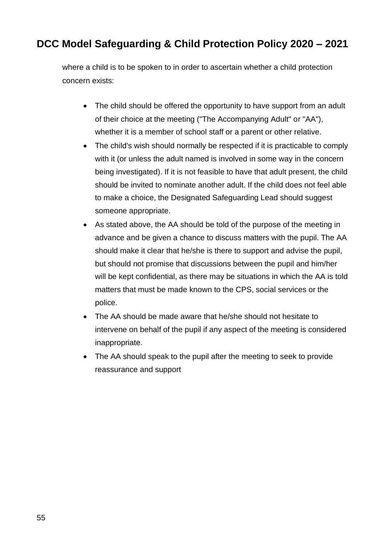where a child is to be spoken to in order to ascertain whether a child protection concern exists:

- The child should be offered the opportunity to have support from an adult of their choice at the meeting ("The Accompanying Adult" or "AA"), whether it is a member of school staff or a parent or other relative.
- The child's wish should normally be respected if it is practicable to comply with it (or unless the adult named is involved in some way in the concern being investigated). If it is not feasible to have that adult present, the child should be invited to nominate another adult. If the child does not feel able to make a choice, the Designated Safeguarding Lead should suggest someone appropriate.
- As stated above, the AA should be told of the purpose of the meeting in advance and be given a chance to discuss matters with the pupil. The AA should make it clear that he/she is there to support and advise the pupil, but should not promise that discussions between the pupil and him/her will be kept confidential, as there may be situations in which the AA is told matters that must be made known to the CPS, social services or the police.
- The AA should be made aware that he/she should not hesitate to intervene on behalf of the pupil if any aspect of the meeting is considered inappropriate.
- The AA should speak to the pupil after the meeting to seek to provide reassurance and support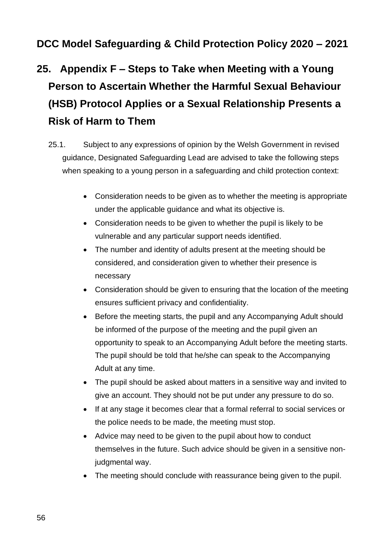# **25. Appendix F – Steps to Take when Meeting with a Young Person to Ascertain Whether the Harmful Sexual Behaviour (HSB) Protocol Applies or a Sexual Relationship Presents a Risk of Harm to Them**

- 25.1. Subject to any expressions of opinion by the Welsh Government in revised guidance, Designated Safeguarding Lead are advised to take the following steps when speaking to a young person in a safeguarding and child protection context:
	- Consideration needs to be given as to whether the meeting is appropriate under the applicable guidance and what its objective is.
	- Consideration needs to be given to whether the pupil is likely to be vulnerable and any particular support needs identified.
	- The number and identity of adults present at the meeting should be considered, and consideration given to whether their presence is necessary
	- Consideration should be given to ensuring that the location of the meeting ensures sufficient privacy and confidentiality.
	- Before the meeting starts, the pupil and any Accompanying Adult should be informed of the purpose of the meeting and the pupil given an opportunity to speak to an Accompanying Adult before the meeting starts. The pupil should be told that he/she can speak to the Accompanying Adult at any time.
	- The pupil should be asked about matters in a sensitive way and invited to give an account. They should not be put under any pressure to do so.
	- If at any stage it becomes clear that a formal referral to social services or the police needs to be made, the meeting must stop.
	- Advice may need to be given to the pupil about how to conduct themselves in the future. Such advice should be given in a sensitive nonjudgmental way.
	- The meeting should conclude with reassurance being given to the pupil.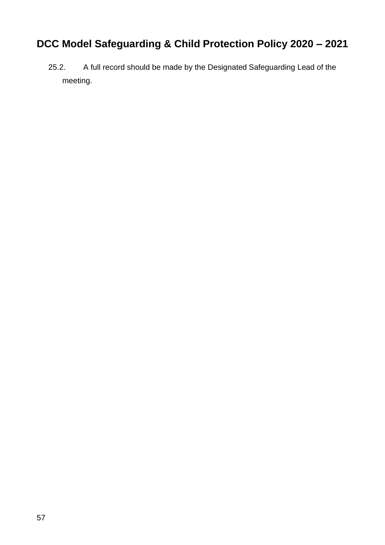25.2. A full record should be made by the Designated Safeguarding Lead of the meeting.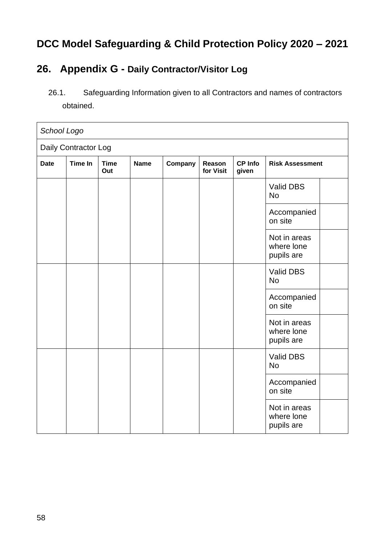### **26. Appendix G - Daily Contractor/Visitor Log**

26.1. Safeguarding Information given to all Contractors and names of contractors obtained.

| School Logo          |                |                    |             |         |                     |                         |                                          |  |
|----------------------|----------------|--------------------|-------------|---------|---------------------|-------------------------|------------------------------------------|--|
| Daily Contractor Log |                |                    |             |         |                     |                         |                                          |  |
| <b>Date</b>          | <b>Time In</b> | <b>Time</b><br>Out | <b>Name</b> | Company | Reason<br>for Visit | <b>CP Info</b><br>given | <b>Risk Assessment</b>                   |  |
|                      |                |                    |             |         |                     |                         | Valid DBS<br><b>No</b>                   |  |
|                      |                |                    |             |         |                     |                         | Accompanied<br>on site                   |  |
|                      |                |                    |             |         |                     |                         | Not in areas<br>where lone<br>pupils are |  |
|                      |                |                    |             |         |                     |                         | Valid DBS<br><b>No</b>                   |  |
|                      |                |                    |             |         |                     |                         | Accompanied<br>on site                   |  |
|                      |                |                    |             |         |                     |                         | Not in areas<br>where lone<br>pupils are |  |
|                      |                |                    |             |         |                     |                         | Valid DBS<br><b>No</b>                   |  |
|                      |                |                    |             |         |                     |                         | Accompanied<br>on site                   |  |
|                      |                |                    |             |         |                     |                         | Not in areas<br>where lone<br>pupils are |  |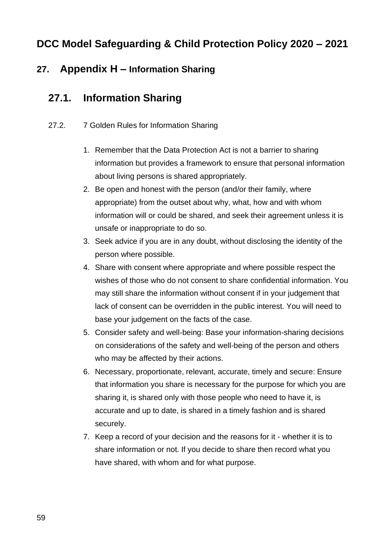#### **27. Appendix H – Information Sharing**

## **27.1. Information Sharing**

- 27.2. 7 Golden Rules for Information Sharing
	- 1. Remember that the Data Protection Act is not a barrier to sharing information but provides a framework to ensure that personal information about living persons is shared appropriately.
	- 2. Be open and honest with the person (and/or their family, where appropriate) from the outset about why, what, how and with whom information will or could be shared, and seek their agreement unless it is unsafe or inappropriate to do so.
	- 3. Seek advice if you are in any doubt, without disclosing the identity of the person where possible.
	- 4. Share with consent where appropriate and where possible respect the wishes of those who do not consent to share confidential information. You may still share the information without consent if in your judgement that lack of consent can be overridden in the public interest. You will need to base your judgement on the facts of the case.
	- 5. Consider safety and well-being: Base your information-sharing decisions on considerations of the safety and well-being of the person and others who may be affected by their actions.
	- 6. Necessary, proportionate, relevant, accurate, timely and secure: Ensure that information you share is necessary for the purpose for which you are sharing it, is shared only with those people who need to have it, is accurate and up to date, is shared in a timely fashion and is shared securely.
	- 7. Keep a record of your decision and the reasons for it whether it is to share information or not. If you decide to share then record what you have shared, with whom and for what purpose.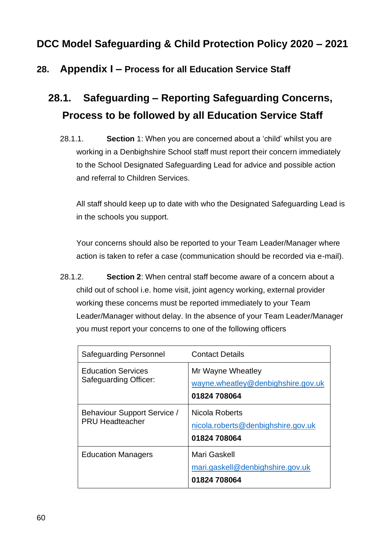#### **28. Appendix I – Process for all Education Service Staff**

# **28.1. Safeguarding – Reporting Safeguarding Concerns, Process to be followed by all Education Service Staff**

28.1.1. **Section** 1: When you are concerned about a 'child' whilst you are working in a Denbighshire School staff must report their concern immediately to the School Designated Safeguarding Lead for advice and possible action and referral to Children Services.

All staff should keep up to date with who the Designated Safeguarding Lead is in the schools you support.

Your concerns should also be reported to your Team Leader/Manager where action is taken to refer a case (communication should be recorded via e-mail).

28.1.2. **Section 2**: When central staff become aware of a concern about a child out of school i.e. home visit, joint agency working, external provider working these concerns must be reported immediately to your Team Leader/Manager without delay. In the absence of your Team Leader/Manager you must report your concerns to one of the following officers

| <b>Safeguarding Personnel</b>                         | <b>Contact Details</b>                                                  |
|-------------------------------------------------------|-------------------------------------------------------------------------|
| <b>Education Services</b><br>Safeguarding Officer:    | Mr Wayne Wheatley<br>wayne.wheatley@denbighshire.gov.uk<br>01824 708064 |
| Behaviour Support Service /<br><b>PRU Headteacher</b> | Nicola Roberts<br>nicola.roberts@denbighshire.gov.uk<br>01824 708064    |
| <b>Education Managers</b>                             | Mari Gaskell<br>mari.gaskell@denbighshire.gov.uk<br>01824 708064        |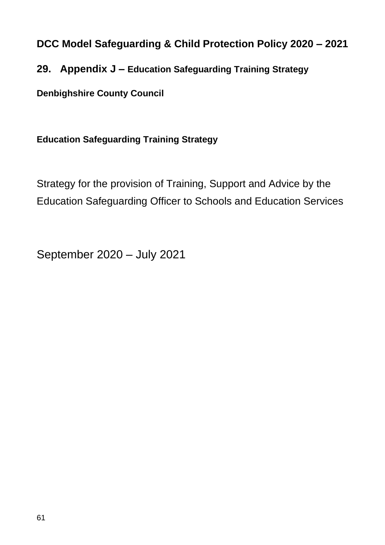#### **29. Appendix J – Education Safeguarding Training Strategy**

**Denbighshire County Council**

#### **Education Safeguarding Training Strategy**

Strategy for the provision of Training, Support and Advice by the Education Safeguarding Officer to Schools and Education Services

September 2020 – July 2021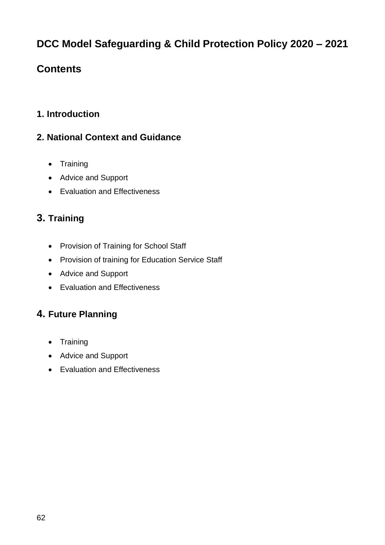# **Contents**

#### **1. Introduction**

#### **2. National Context and Guidance**

- Training
- Advice and Support
- Evaluation and Effectiveness

### **3. Training**

- Provision of Training for School Staff
- Provision of training for Education Service Staff
- Advice and Support
- Evaluation and Effectiveness

#### **4. Future Planning**

- Training
- Advice and Support
- Evaluation and Effectiveness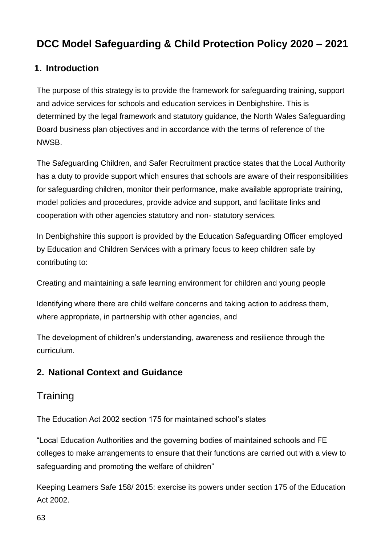#### **1. Introduction**

The purpose of this strategy is to provide the framework for safeguarding training, support and advice services for schools and education services in Denbighshire. This is determined by the legal framework and statutory guidance, the North Wales Safeguarding Board business plan objectives and in accordance with the terms of reference of the NWSB.

The Safeguarding Children, and Safer Recruitment practice states that the Local Authority has a duty to provide support which ensures that schools are aware of their responsibilities for safeguarding children, monitor their performance, make available appropriate training, model policies and procedures, provide advice and support, and facilitate links and cooperation with other agencies statutory and non- statutory services.

In Denbighshire this support is provided by the Education Safeguarding Officer employed by Education and Children Services with a primary focus to keep children safe by contributing to:

Creating and maintaining a safe learning environment for children and young people

Identifying where there are child welfare concerns and taking action to address them, where appropriate, in partnership with other agencies, and

The development of children's understanding, awareness and resilience through the curriculum.

#### **2. National Context and Guidance**

### **Training**

The Education Act 2002 section 175 for maintained school's states

"Local Education Authorities and the governing bodies of maintained schools and FE colleges to make arrangements to ensure that their functions are carried out with a view to safeguarding and promoting the welfare of children"

Keeping Learners Safe 158/ 2015: exercise its powers under section 175 of the Education Act 2002.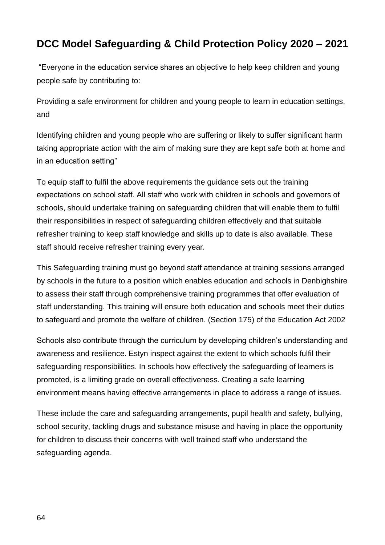"Everyone in the education service shares an objective to help keep children and young people safe by contributing to:

Providing a safe environment for children and young people to learn in education settings, and

Identifying children and young people who are suffering or likely to suffer significant harm taking appropriate action with the aim of making sure they are kept safe both at home and in an education setting"

To equip staff to fulfil the above requirements the guidance sets out the training expectations on school staff. All staff who work with children in schools and governors of schools, should undertake training on safeguarding children that will enable them to fulfil their responsibilities in respect of safeguarding children effectively and that suitable refresher training to keep staff knowledge and skills up to date is also available. These staff should receive refresher training every year.

This Safeguarding training must go beyond staff attendance at training sessions arranged by schools in the future to a position which enables education and schools in Denbighshire to assess their staff through comprehensive training programmes that offer evaluation of staff understanding. This training will ensure both education and schools meet their duties to safeguard and promote the welfare of children. (Section 175) of the Education Act 2002

Schools also contribute through the curriculum by developing children's understanding and awareness and resilience. Estyn inspect against the extent to which schools fulfil their safeguarding responsibilities. In schools how effectively the safeguarding of learners is promoted, is a limiting grade on overall effectiveness. Creating a safe learning environment means having effective arrangements in place to address a range of issues.

These include the care and safeguarding arrangements, pupil health and safety, bullying, school security, tackling drugs and substance misuse and having in place the opportunity for children to discuss their concerns with well trained staff who understand the safeguarding agenda.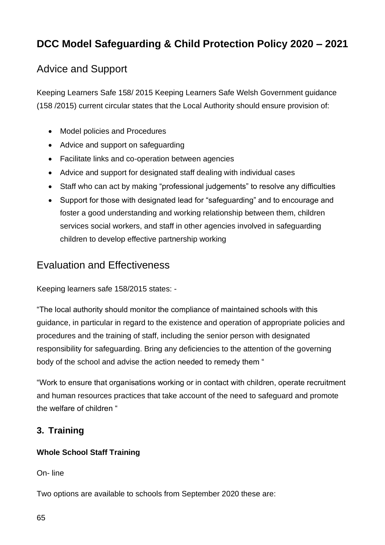# Advice and Support

Keeping Learners Safe 158/ 2015 Keeping Learners Safe Welsh Government guidance (158 /2015) current circular states that the Local Authority should ensure provision of:

- Model policies and Procedures
- Advice and support on safeguarding
- Facilitate links and co-operation between agencies
- Advice and support for designated staff dealing with individual cases
- Staff who can act by making "professional judgements" to resolve any difficulties
- Support for those with designated lead for "safeguarding" and to encourage and foster a good understanding and working relationship between them, children services social workers, and staff in other agencies involved in safeguarding children to develop effective partnership working

#### Evaluation and Effectiveness

Keeping learners safe 158/2015 states: -

"The local authority should monitor the compliance of maintained schools with this guidance, in particular in regard to the existence and operation of appropriate policies and procedures and the training of staff, including the senior person with designated responsibility for safeguarding. Bring any deficiencies to the attention of the governing body of the school and advise the action needed to remedy them "

"Work to ensure that organisations working or in contact with children, operate recruitment and human resources practices that take account of the need to safeguard and promote the welfare of children "

#### **3. Training**

#### **Whole School Staff Training**

On- line

Two options are available to schools from September 2020 these are: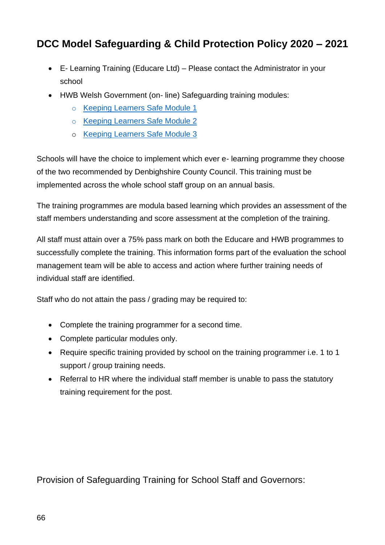- E- Learning Training (Educare Ltd) Please contact the Administrator in your school
- HWB Welsh Government (on- line) Safeguarding training modules:
	- o [Keeping Learners Safe Module 1](https://hwb.gov.wales/repository/discovery/resource/65cf3917-fe44-4f34-9dfd-ff7eba11e6f6/en)
	- o [Keeping Learners Safe Module 2](https://hwb.gov.wales/repository/discovery/resource/0b7409c9-3dce-4d43-80ea-36ee57c28535/en)
	- o [Keeping Learners Safe Module 3](https://hwb.wales.gov.uk/resources/resource/9e82bdf6-02bb-4230-a113-8ab0f864e046)

Schools will have the choice to implement which ever e- learning programme they choose of the two recommended by Denbighshire County Council. This training must be implemented across the whole school staff group on an annual basis.

The training programmes are modula based learning which provides an assessment of the staff members understanding and score assessment at the completion of the training.

All staff must attain over a 75% pass mark on both the Educare and HWB programmes to successfully complete the training. This information forms part of the evaluation the school management team will be able to access and action where further training needs of individual staff are identified.

Staff who do not attain the pass / grading may be required to:

- Complete the training programmer for a second time.
- Complete particular modules only.
- Require specific training provided by school on the training programmer i.e. 1 to 1 support / group training needs.
- Referral to HR where the individual staff member is unable to pass the statutory training requirement for the post.

Provision of Safeguarding Training for School Staff and Governors: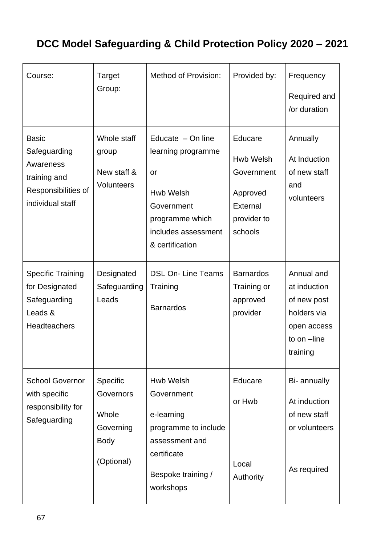| Course:                                                                                              | Target<br>Group:                                                         | <b>Method of Provision:</b>                                                                                                              | Provided by:                                                                         | Frequency<br>Required and<br>/or duration                                                          |
|------------------------------------------------------------------------------------------------------|--------------------------------------------------------------------------|------------------------------------------------------------------------------------------------------------------------------------------|--------------------------------------------------------------------------------------|----------------------------------------------------------------------------------------------------|
| <b>Basic</b><br>Safeguarding<br>Awareness<br>training and<br>Responsibilities of<br>individual staff | Whole staff<br>group<br>New staff &<br>Volunteers                        | Educate $-$ On line<br>learning programme<br>or<br>Hwb Welsh<br>Government<br>programme which<br>includes assessment<br>& certification  | Educare<br>Hwb Welsh<br>Government<br>Approved<br>External<br>provider to<br>schools | Annually<br>At Induction<br>of new staff<br>and<br>volunteers                                      |
| <b>Specific Training</b><br>for Designated<br>Safeguarding<br>Leads &<br><b>Headteachers</b>         | Designated<br>Safeguarding<br>Leads                                      | <b>DSL On-Line Teams</b><br>Training<br><b>Barnardos</b>                                                                                 | <b>Barnardos</b><br>Training or<br>approved<br>provider                              | Annual and<br>at induction<br>of new post<br>holders via<br>open access<br>to on -line<br>training |
| <b>School Governor</b><br>with specific<br>responsibility for<br>Safeguarding                        | Specific<br>Governors<br>Whole<br>Governing<br><b>Body</b><br>(Optional) | <b>Hwb Welsh</b><br>Government<br>e-learning<br>programme to include<br>assessment and<br>certificate<br>Bespoke training /<br>workshops | Educare<br>or Hwb<br>Local<br>Authority                                              | Bi- annually<br>At induction<br>of new staff<br>or volunteers<br>As required                       |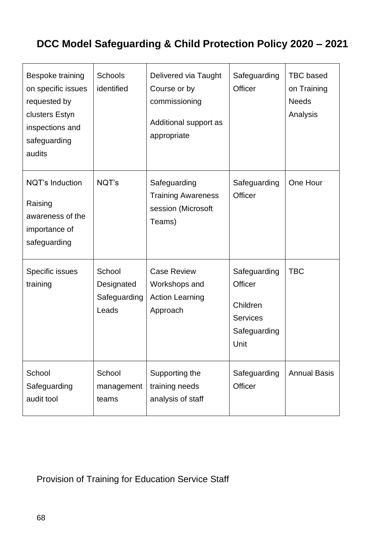| Bespoke training<br>on specific issues<br>requested by<br>clusters Estyn<br>inspections and<br>safeguarding<br>audits | Schools<br>identified                         | Delivered via Taught<br>Course or by<br>commissioning<br>Additional support as<br>appropriate | Safeguarding<br><b>Officer</b>                                                        | <b>TBC</b> based<br>on Training<br><b>Needs</b><br>Analysis |
|-----------------------------------------------------------------------------------------------------------------------|-----------------------------------------------|-----------------------------------------------------------------------------------------------|---------------------------------------------------------------------------------------|-------------------------------------------------------------|
| <b>NQT's Induction</b><br>Raising<br>awareness of the<br>importance of<br>safeguarding                                | NQT's                                         | Safeguarding<br><b>Training Awareness</b><br>session (Microsoft<br>Teams)                     | Safeguarding<br><b>Officer</b>                                                        | One Hour                                                    |
| Specific issues<br>training                                                                                           | School<br>Designated<br>Safeguarding<br>Leads | <b>Case Review</b><br>Workshops and<br><b>Action Learning</b><br>Approach                     | Safeguarding<br><b>Officer</b><br>Children<br><b>Services</b><br>Safeguarding<br>Unit | <b>TBC</b>                                                  |
| School<br>Safeguarding<br>audit tool                                                                                  | School<br>management<br>teams                 | Supporting the<br>training needs<br>analysis of staff                                         | Safeguarding<br><b>Officer</b>                                                        | <b>Annual Basis</b>                                         |

### Provision of Training for Education Service Staff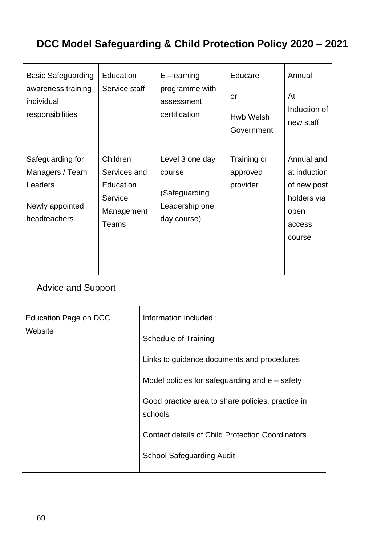| <b>Basic Safeguarding</b><br>awareness training<br>individual<br>responsibilities | Education<br>Service staff                                              | E-learning<br>programme with<br>assessment<br>certification                 | Educare<br>or<br>Hwb Welsh<br>Government | Annual<br>At<br>Induction of<br>new staff                                            |
|-----------------------------------------------------------------------------------|-------------------------------------------------------------------------|-----------------------------------------------------------------------------|------------------------------------------|--------------------------------------------------------------------------------------|
| Safeguarding for<br>Managers / Team<br>Leaders<br>Newly appointed<br>headteachers | Children<br>Services and<br>Education<br>Service<br>Management<br>Teams | Level 3 one day<br>course<br>(Safeguarding<br>Leadership one<br>day course) | Training or<br>approved<br>provider      | Annual and<br>at induction<br>of new post<br>holders via<br>open<br>access<br>course |

### Advice and Support

| Education Page on DCC<br>Website | Information included:                                        |  |
|----------------------------------|--------------------------------------------------------------|--|
|                                  | <b>Schedule of Training</b>                                  |  |
|                                  | Links to guidance documents and procedures                   |  |
|                                  | Model policies for safeguarding and $e$ – safety             |  |
|                                  | Good practice area to share policies, practice in<br>schools |  |
|                                  | <b>Contact details of Child Protection Coordinators</b>      |  |
|                                  | <b>School Safeguarding Audit</b>                             |  |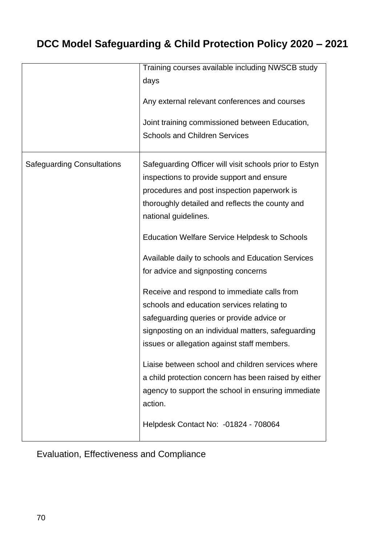|                                   | Training courses available including NWSCB study<br>days<br>Any external relevant conferences and courses<br>Joint training commissioned between Education,<br><b>Schools and Children Services</b>                                                                                                                                                                                                                                                                                                                                                                                                                                                                                                                                                                                                                                                    |
|-----------------------------------|--------------------------------------------------------------------------------------------------------------------------------------------------------------------------------------------------------------------------------------------------------------------------------------------------------------------------------------------------------------------------------------------------------------------------------------------------------------------------------------------------------------------------------------------------------------------------------------------------------------------------------------------------------------------------------------------------------------------------------------------------------------------------------------------------------------------------------------------------------|
| <b>Safeguarding Consultations</b> | Safeguarding Officer will visit schools prior to Estyn<br>inspections to provide support and ensure<br>procedures and post inspection paperwork is<br>thoroughly detailed and reflects the county and<br>national guidelines.<br><b>Education Welfare Service Helpdesk to Schools</b><br>Available daily to schools and Education Services<br>for advice and signposting concerns<br>Receive and respond to immediate calls from<br>schools and education services relating to<br>safeguarding queries or provide advice or<br>signposting on an individual matters, safeguarding<br>issues or allegation against staff members.<br>Liaise between school and children services where<br>a child protection concern has been raised by either<br>agency to support the school in ensuring immediate<br>action.<br>Helpdesk Contact No: -01824 - 708064 |

# Evaluation, Effectiveness and Compliance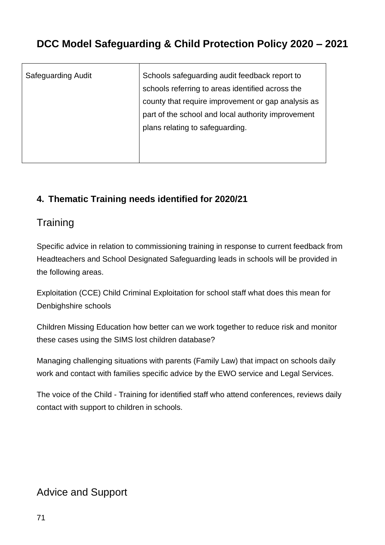| <b>Safeguarding Audit</b> | Schools safeguarding audit feedback report to      |
|---------------------------|----------------------------------------------------|
|                           | schools referring to areas identified across the   |
|                           | county that require improvement or gap analysis as |
|                           | part of the school and local authority improvement |
|                           | plans relating to safeguarding.                    |
|                           |                                                    |
|                           |                                                    |

#### **4. Thematic Training needs identified for 2020/21**

#### **Training**

Specific advice in relation to commissioning training in response to current feedback from Headteachers and School Designated Safeguarding leads in schools will be provided in the following areas.

Exploitation (CCE) Child Criminal Exploitation for school staff what does this mean for Denbighshire schools

Children Missing Education how better can we work together to reduce risk and monitor these cases using the SIMS lost children database?

Managing challenging situations with parents (Family Law) that impact on schools daily work and contact with families specific advice by the EWO service and Legal Services.

The voice of the Child - Training for identified staff who attend conferences, reviews daily contact with support to children in schools.

### Advice and Support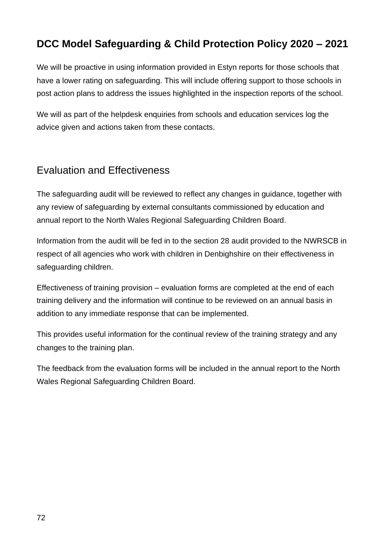We will be proactive in using information provided in Estyn reports for those schools that have a lower rating on safeguarding. This will include offering support to those schools in post action plans to address the issues highlighted in the inspection reports of the school.

We will as part of the helpdesk enquiries from schools and education services log the advice given and actions taken from these contacts.

#### Evaluation and Effectiveness

The safeguarding audit will be reviewed to reflect any changes in guidance, together with any review of safeguarding by external consultants commissioned by education and annual report to the North Wales Regional Safeguarding Children Board.

Information from the audit will be fed in to the section 28 audit provided to the NWRSCB in respect of all agencies who work with children in Denbighshire on their effectiveness in safeguarding children.

Effectiveness of training provision – evaluation forms are completed at the end of each training delivery and the information will continue to be reviewed on an annual basis in addition to any immediate response that can be implemented.

This provides useful information for the continual review of the training strategy and any changes to the training plan.

The feedback from the evaluation forms will be included in the annual report to the North Wales Regional Safeguarding Children Board.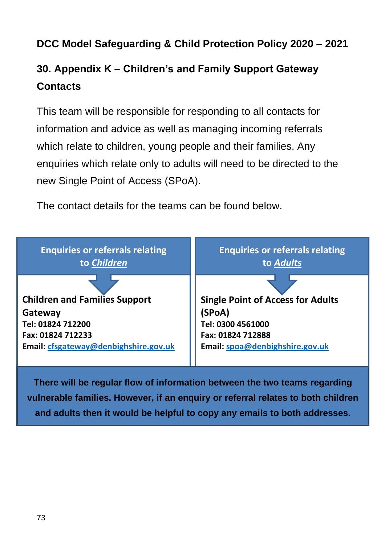## **DCC Model Safeguarding & Child Protection Policy 2020 – 2021**

## **30. Appendix K – Children's and Family Support Gateway Contacts**

This team will be responsible for responding to all contacts for information and advice as well as managing incoming referrals which relate to children, young people and their families. Any enquiries which relate only to adults will need to be directed to the new Single Point of Access (SPoA).

The contact details for the teams can be found below.



**vulnerable families. However, if an enquiry or referral relates to both children and adults then it would be helpful to copy any emails to both addresses.**